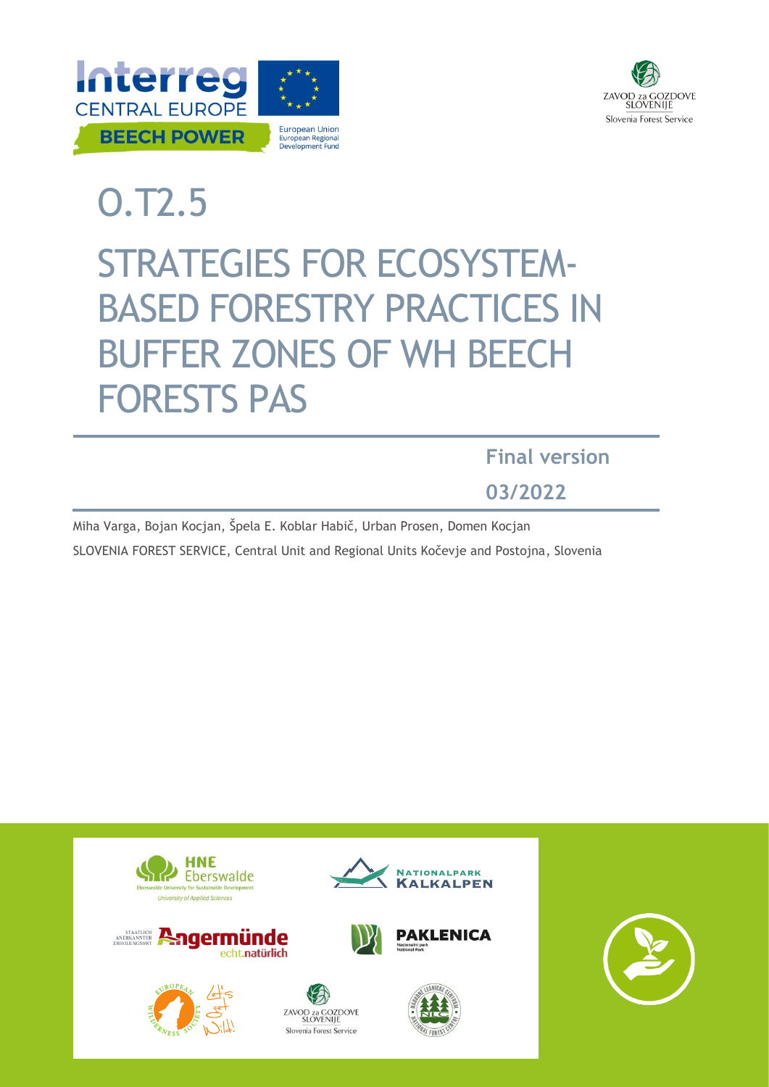



# O.T2.5

# STRATEGIES FOR ECOSYSTEM-BASED FORESTRY PRACTICES IN BUFFER ZONES OF WH BEECH FORESTS PAS

**Final version**

**03/2022**

Miha Varga, Bojan Kocjan, Špela E. Koblar Habič, Urban Prosen, Domen Kocjan SLOVENIA FOREST SERVICE, Central Unit and Regional Units Kočevje and Postojna, Slovenia

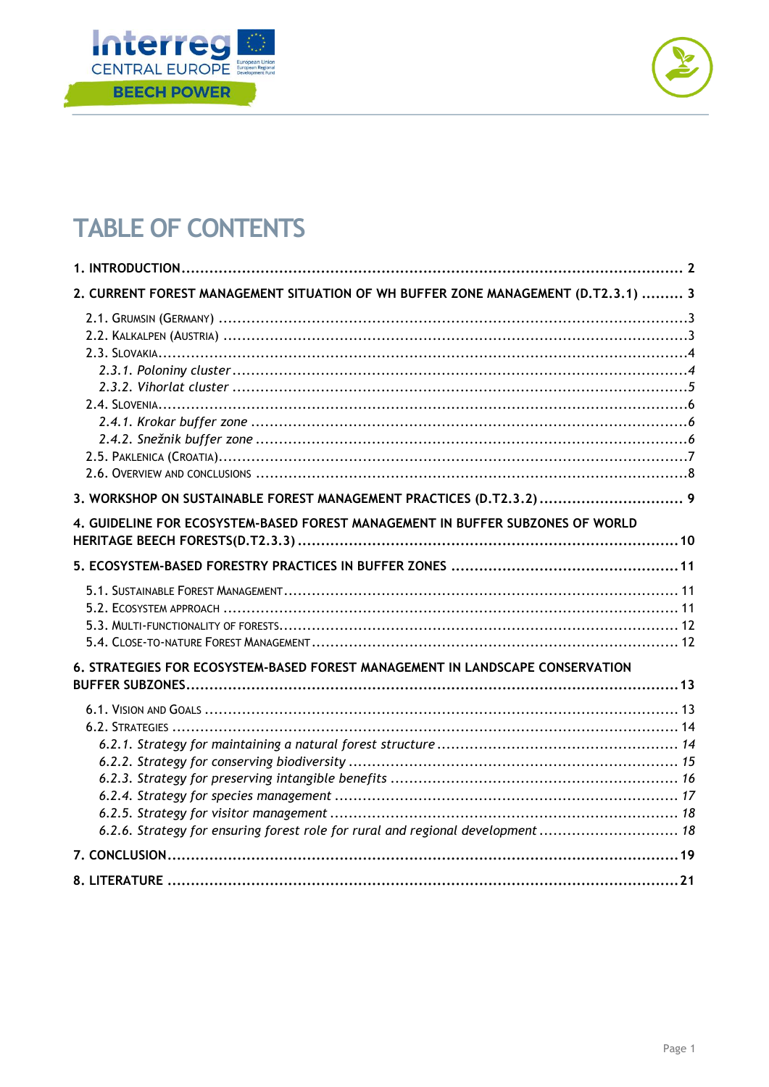



# **TABLE OF CONTENTS**

| 2. CURRENT FOREST MANAGEMENT SITUATION OF WH BUFFER ZONE MANAGEMENT (D.T2.3.1)  3 |
|-----------------------------------------------------------------------------------|
|                                                                                   |
| 3. WORKSHOP ON SUSTAINABLE FOREST MANAGEMENT PRACTICES (D.T2.3.2)  9              |
| 4. GUIDELINE FOR ECOSYSTEM-BASED FOREST MANAGEMENT IN BUFFER SUBZONES OF WORLD    |
|                                                                                   |
|                                                                                   |
| 6. STRATEGIES FOR ECOSYSTEM-BASED FOREST MANAGEMENT IN LANDSCAPE CONSERVATION     |
| 6.2.6. Strategy for ensuring forest role for rural and regional development  18   |
|                                                                                   |
|                                                                                   |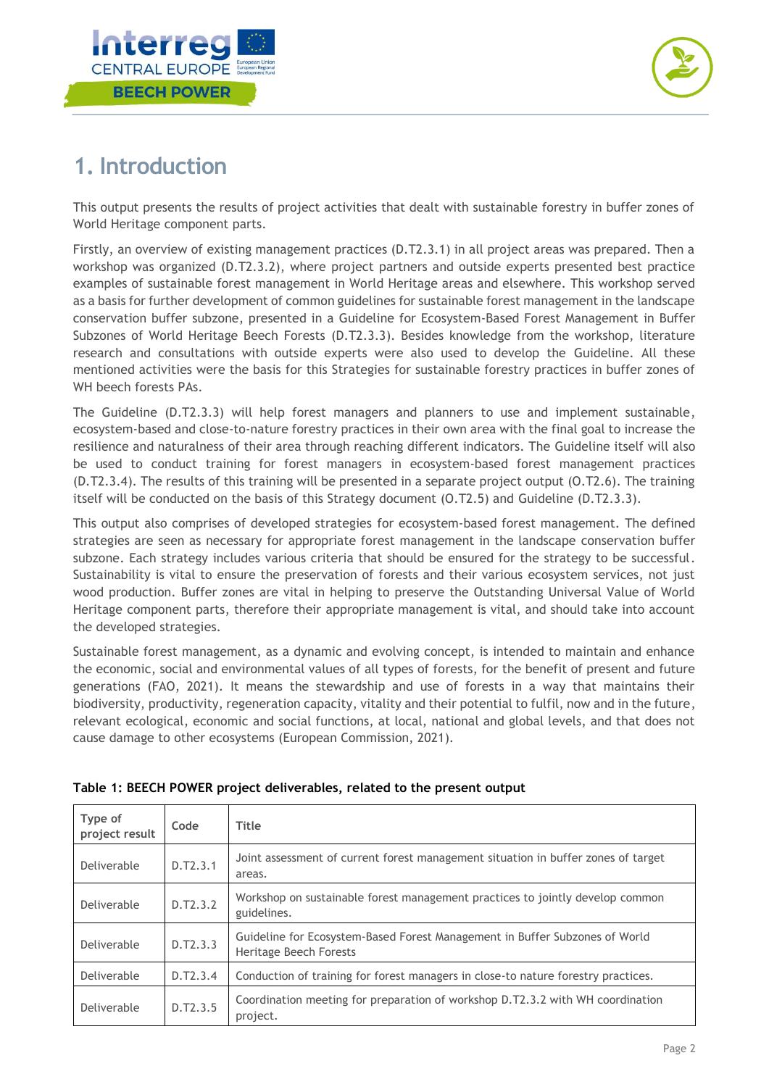



# <span id="page-2-0"></span>**1. Introduction**

This output presents the results of project activities that dealt with sustainable forestry in buffer zones of World Heritage component parts.

Firstly, an overview of existing management practices (D.T2.3.1) in all project areas was prepared. Then a workshop was organized (D.T2.3.2), where project partners and outside experts presented best practice examples of sustainable forest management in World Heritage areas and elsewhere. This workshop served as a basis for further development of common guidelines for sustainable forest management in the landscape conservation buffer subzone, presented in a Guideline for Ecosystem-Based Forest Management in Buffer Subzones of World Heritage Beech Forests (D.T2.3.3). Besides knowledge from the workshop, literature research and consultations with outside experts were also used to develop the Guideline. All these mentioned activities were the basis for this Strategies for sustainable forestry practices in buffer zones of WH beech forests PAs.

The Guideline (D.T2.3.3) will help forest managers and planners to use and implement sustainable, ecosystem-based and close-to-nature forestry practices in their own area with the final goal to increase the resilience and naturalness of their area through reaching different indicators. The Guideline itself will also be used to conduct training for forest managers in ecosystem-based forest management practices (D.T2.3.4). The results of this training will be presented in a separate project output (O.T2.6). The training itself will be conducted on the basis of this Strategy document (O.T2.5) and Guideline (D.T2.3.3).

This output also comprises of developed strategies for ecosystem-based forest management. The defined strategies are seen as necessary for appropriate forest management in the landscape conservation buffer subzone. Each strategy includes various criteria that should be ensured for the strategy to be successful. Sustainability is vital to ensure the preservation of forests and their various ecosystem services, not just wood production. Buffer zones are vital in helping to preserve the Outstanding Universal Value of World Heritage component parts, therefore their appropriate management is vital, and should take into account the developed strategies.

Sustainable forest management, as a dynamic and evolving concept, is intended to maintain and enhance the economic, social and environmental values of all types of forests, for the benefit of present and future generations (FAO, 2021). It means the stewardship and use of forests in a way that maintains their biodiversity, productivity, regeneration capacity, vitality and their potential to fulfil, now and in the future, relevant ecological, economic and social functions, at local, national and global levels, and that does not cause damage to other ecosystems (European Commission, 2021).

| Type of<br>project result | Code     | Title                                                                                                 |
|---------------------------|----------|-------------------------------------------------------------------------------------------------------|
| Deliverable               | D.T2.3.1 | Joint assessment of current forest management situation in buffer zones of target<br>areas.           |
| Deliverable               | D.T2.3.2 | Workshop on sustainable forest management practices to jointly develop common<br>guidelines.          |
| Deliverable               | D.T2.3.3 | Guideline for Ecosystem-Based Forest Management in Buffer Subzones of World<br>Heritage Beech Forests |
| Deliverable               | D.T2.3.4 | Conduction of training for forest managers in close-to nature forestry practices.                     |
| Deliverable               | D.T2.3.5 | Coordination meeting for preparation of workshop D.T2.3.2 with WH coordination<br>project.            |

#### **Table 1: BEECH POWER project deliverables, related to the present output**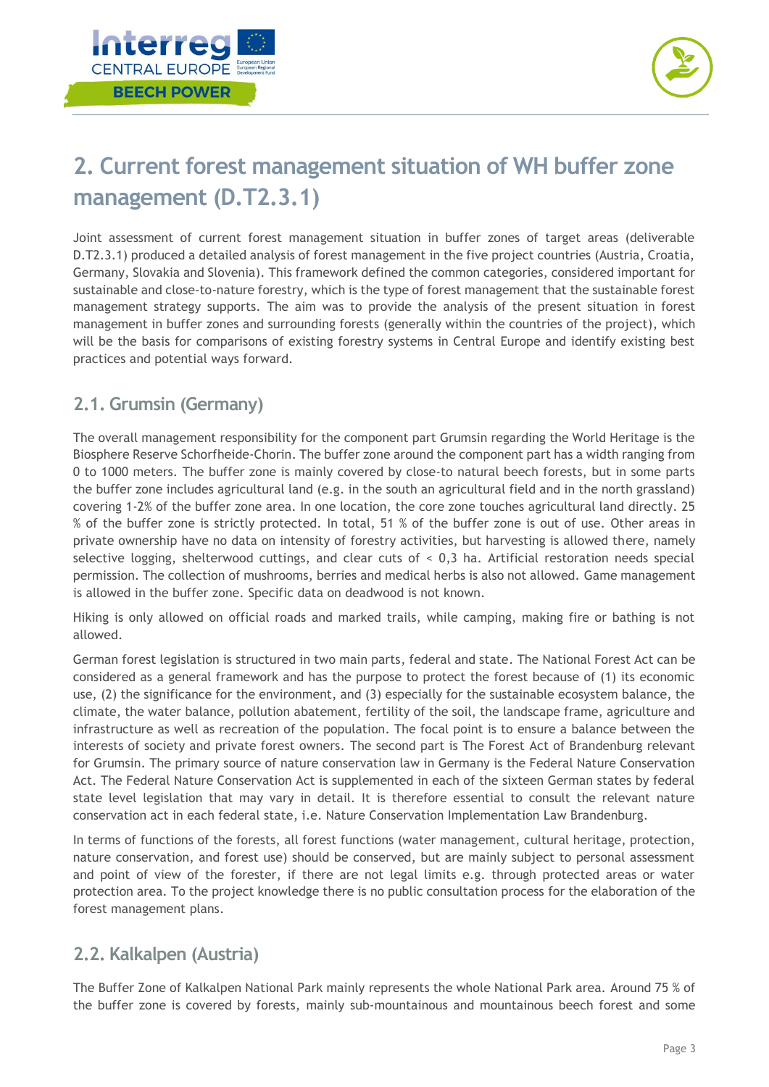



# <span id="page-3-0"></span>**2. Current forest management situation of WH buffer zone management (D.T2.3.1)**

Joint assessment of current forest management situation in buffer zones of target areas (deliverable D.T2.3.1) produced a detailed analysis of forest management in the five project countries (Austria, Croatia, Germany, Slovakia and Slovenia). This framework defined the common categories, considered important for sustainable and close-to-nature forestry, which is the type of forest management that the sustainable forest management strategy supports. The aim was to provide the analysis of the present situation in forest management in buffer zones and surrounding forests (generally within the countries of the project), which will be the basis for comparisons of existing forestry systems in Central Europe and identify existing best practices and potential ways forward.

### <span id="page-3-1"></span>**2.1. Grumsin (Germany)**

The overall management responsibility for the component part Grumsin regarding the World Heritage is the Biosphere Reserve Schorfheide-Chorin. The buffer zone around the component part has a width ranging from 0 to 1000 meters. The buffer zone is mainly covered by close-to natural beech forests, but in some parts the buffer zone includes agricultural land (e.g. in the south an agricultural field and in the north grassland) covering 1-2% of the buffer zone area. In one location, the core zone touches agricultural land directly. 25 % of the buffer zone is strictly protected. In total, 51 % of the buffer zone is out of use. Other areas in private ownership have no data on intensity of forestry activities, but harvesting is allowed there, namely selective logging, shelterwood cuttings, and clear cuts of < 0,3 ha. Artificial restoration needs special permission. The collection of mushrooms, berries and medical herbs is also not allowed. Game management is allowed in the buffer zone. Specific data on deadwood is not known.

Hiking is only allowed on official roads and marked trails, while camping, making fire or bathing is not allowed.

German forest legislation is structured in two main parts, federal and state. The National Forest Act can be considered as a general framework and has the purpose to protect the forest because of (1) its economic use, (2) the significance for the environment, and (3) especially for the sustainable ecosystem balance, the climate, the water balance, pollution abatement, fertility of the soil, the landscape frame, agriculture and infrastructure as well as recreation of the population. The focal point is to ensure a balance between the interests of society and private forest owners. The second part is The Forest Act of Brandenburg relevant for Grumsin. The primary source of nature conservation law in Germany is the Federal Nature Conservation Act. The Federal Nature Conservation Act is supplemented in each of the sixteen German states by federal state level legislation that may vary in detail. It is therefore essential to consult the relevant nature conservation act in each federal state, i.e. Nature Conservation Implementation Law Brandenburg.

In terms of functions of the forests, all forest functions (water management, cultural heritage, protection, nature conservation, and forest use) should be conserved, but are mainly subject to personal assessment and point of view of the forester, if there are not legal limits e.g. through protected areas or water protection area. To the project knowledge there is no public consultation process for the elaboration of the forest management plans.

### <span id="page-3-2"></span>**2.2. Kalkalpen (Austria)**

The Buffer Zone of Kalkalpen National Park mainly represents the whole National Park area. Around 75 % of the buffer zone is covered by forests, mainly sub-mountainous and mountainous beech forest and some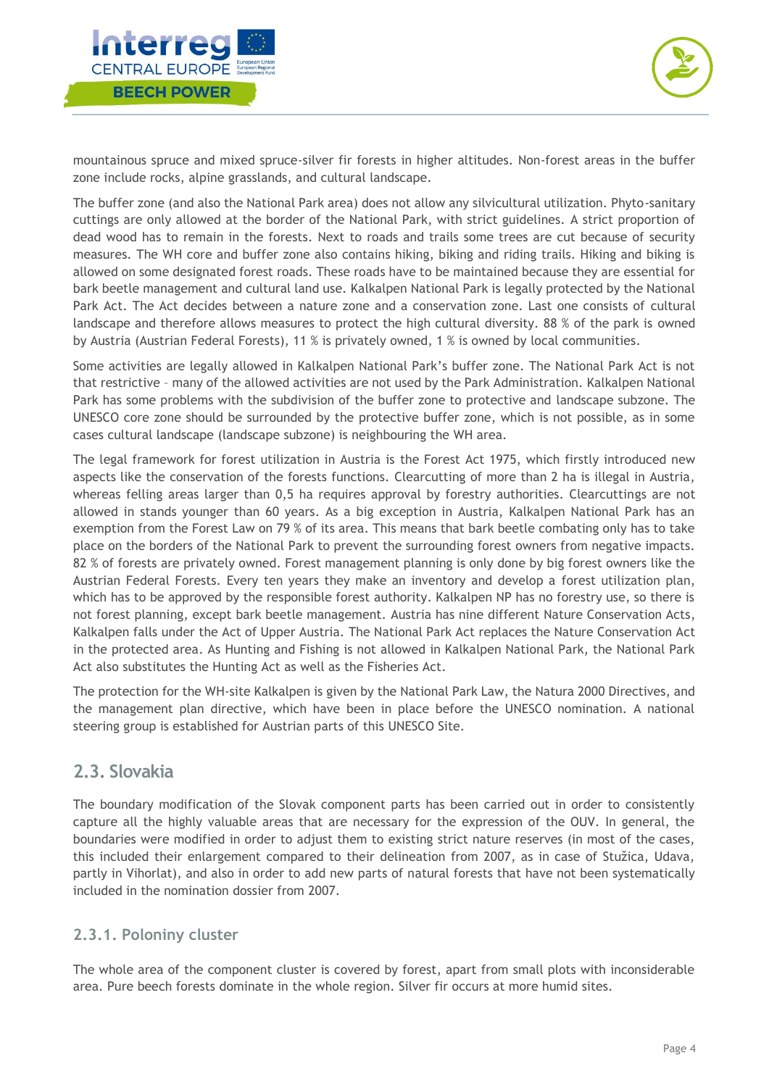



mountainous spruce and mixed spruce-silver fir forests in higher altitudes. Non-forest areas in the buffer zone include rocks, alpine grasslands, and cultural landscape.

The buffer zone (and also the National Park area) does not allow any silvicultural utilization. Phyto-sanitary cuttings are only allowed at the border of the National Park, with strict guidelines. A strict proportion of dead wood has to remain in the forests. Next to roads and trails some trees are cut because of security measures. The WH core and buffer zone also contains hiking, biking and riding trails. Hiking and biking is allowed on some designated forest roads. These roads have to be maintained because they are essential for bark beetle management and cultural land use. Kalkalpen National Park is legally protected by the National Park Act. The Act decides between a nature zone and a conservation zone. Last one consists of cultural landscape and therefore allows measures to protect the high cultural diversity. 88 % of the park is owned by Austria (Austrian Federal Forests), 11 % is privately owned, 1 % is owned by local communities.

Some activities are legally allowed in Kalkalpen National Park's buffer zone. The National Park Act is not that restrictive – many of the allowed activities are not used by the Park Administration. Kalkalpen National Park has some problems with the subdivision of the buffer zone to protective and landscape subzone. The UNESCO core zone should be surrounded by the protective buffer zone, which is not possible, as in some cases cultural landscape (landscape subzone) is neighbouring the WH area.

The legal framework for forest utilization in Austria is the Forest Act 1975, which firstly introduced new aspects like the conservation of the forests functions. Clearcutting of more than 2 ha is illegal in Austria, whereas felling areas larger than 0,5 ha requires approval by forestry authorities. Clearcuttings are not allowed in stands younger than 60 years. As a big exception in Austria, Kalkalpen National Park has an exemption from the Forest Law on 79 % of its area. This means that bark beetle combating only has to take place on the borders of the National Park to prevent the surrounding forest owners from negative impacts. 82 % of forests are privately owned. Forest management planning is only done by big forest owners like the Austrian Federal Forests. Every ten years they make an inventory and develop a forest utilization plan, which has to be approved by the responsible forest authority. Kalkalpen NP has no forestry use, so there is not forest planning, except bark beetle management. Austria has nine different Nature Conservation Acts, Kalkalpen falls under the Act of Upper Austria. The National Park Act replaces the Nature Conservation Act in the protected area. As Hunting and Fishing is not allowed in Kalkalpen National Park, the National Park Act also substitutes the Hunting Act as well as the Fisheries Act.

The protection for the WH-site Kalkalpen is given by the National Park Law, the Natura 2000 Directives, and the management plan directive, which have been in place before the UNESCO nomination. A national steering group is established for Austrian parts of this UNESCO Site.

#### <span id="page-4-0"></span>**2.3. Slovakia**

The boundary modification of the Slovak component parts has been carried out in order to consistently capture all the highly valuable areas that are necessary for the expression of the OUV. In general, the boundaries were modified in order to adjust them to existing strict nature reserves (in most of the cases, this included their enlargement compared to their delineation from 2007, as in case of Stužica, Udava, partly in Vihorlat), and also in order to add new parts of natural forests that have not been systematically included in the nomination dossier from 2007.

#### <span id="page-4-1"></span>**2.3.1. Poloniny cluster**

The whole area of the component cluster is covered by forest, apart from small plots with inconsiderable area. Pure beech forests dominate in the whole region. Silver fir occurs at more humid sites.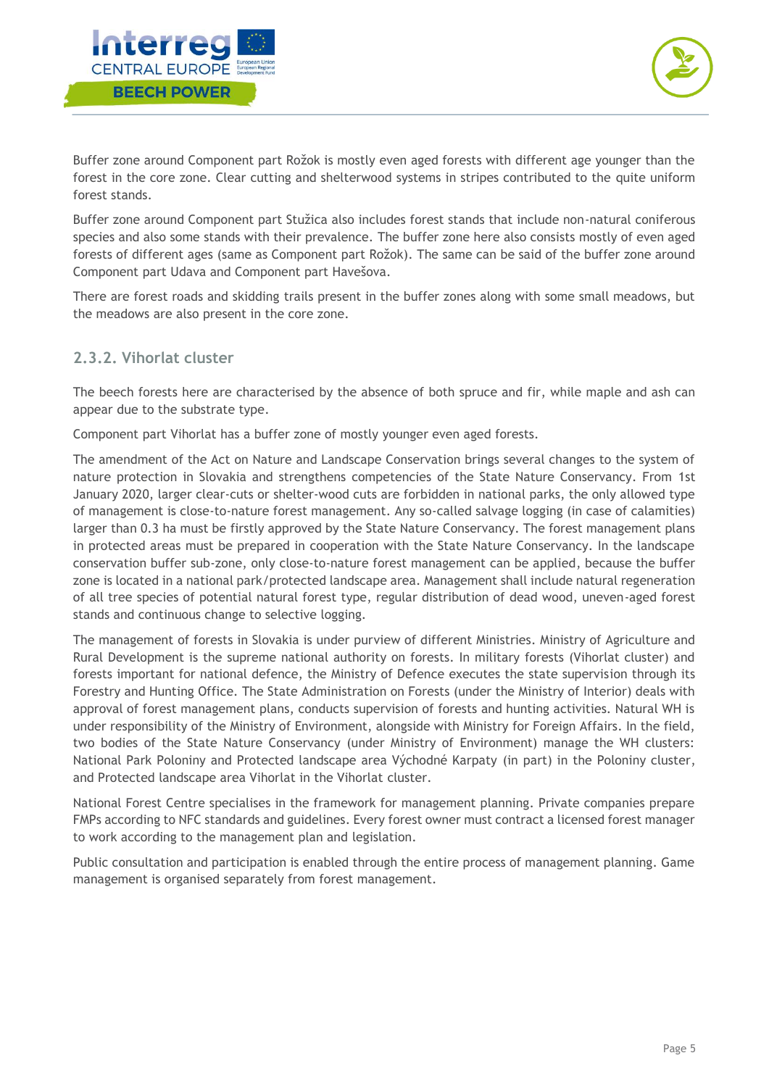



Buffer zone around Component part Rožok is mostly even aged forests with different age younger than the forest in the core zone. Clear cutting and shelterwood systems in stripes contributed to the quite uniform forest stands.

Buffer zone around Component part Stužica also includes forest stands that include non-natural coniferous species and also some stands with their prevalence. The buffer zone here also consists mostly of even aged forests of different ages (same as Component part Rožok). The same can be said of the buffer zone around Component part Udava and Component part Havešova.

There are forest roads and skidding trails present in the buffer zones along with some small meadows, but the meadows are also present in the core zone.

#### <span id="page-5-0"></span>**2.3.2. Vihorlat cluster**

The beech forests here are characterised by the absence of both spruce and fir, while maple and ash can appear due to the substrate type.

Component part Vihorlat has a buffer zone of mostly younger even aged forests.

The amendment of the Act on Nature and Landscape Conservation brings several changes to the system of nature protection in Slovakia and strengthens competencies of the State Nature Conservancy. From 1st January 2020, larger clear-cuts or shelter-wood cuts are forbidden in national parks, the only allowed type of management is close-to-nature forest management. Any so-called salvage logging (in case of calamities) larger than 0.3 ha must be firstly approved by the State Nature Conservancy. The forest management plans in protected areas must be prepared in cooperation with the State Nature Conservancy. In the landscape conservation buffer sub-zone, only close-to-nature forest management can be applied, because the buffer zone is located in a national park/protected landscape area. Management shall include natural regeneration of all tree species of potential natural forest type, regular distribution of dead wood, uneven-aged forest stands and continuous change to selective logging.

The management of forests in Slovakia is under purview of different Ministries. Ministry of Agriculture and Rural Development is the supreme national authority on forests. In military forests (Vihorlat cluster) and forests important for national defence, the Ministry of Defence executes the state supervision through its Forestry and Hunting Office. The State Administration on Forests (under the Ministry of Interior) deals with approval of forest management plans, conducts supervision of forests and hunting activities. Natural WH is under responsibility of the Ministry of Environment, alongside with Ministry for Foreign Affairs. In the field, two bodies of the State Nature Conservancy (under Ministry of Environment) manage the WH clusters: National Park Poloniny and Protected landscape area Východné Karpaty (in part) in the Poloniny cluster, and Protected landscape area Vihorlat in the Vihorlat cluster.

National Forest Centre specialises in the framework for management planning. Private companies prepare FMPs according to NFC standards and guidelines. Every forest owner must contract a licensed forest manager to work according to the management plan and legislation.

Public consultation and participation is enabled through the entire process of management planning. Game management is organised separately from forest management.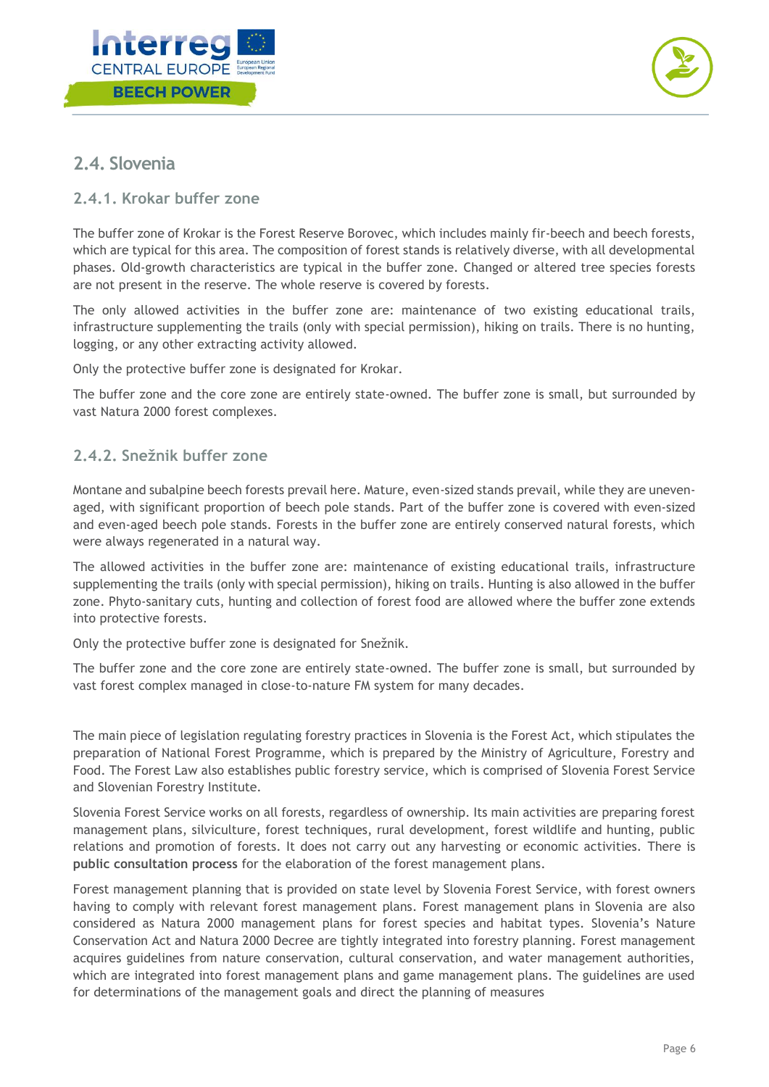



### <span id="page-6-0"></span>**2.4. Slovenia**

#### <span id="page-6-1"></span>**2.4.1. Krokar buffer zone**

The buffer zone of Krokar is the Forest Reserve Borovec, which includes mainly fir-beech and beech forests, which are typical for this area. The composition of forest stands is relatively diverse, with all developmental phases. Old-growth characteristics are typical in the buffer zone. Changed or altered tree species forests are not present in the reserve. The whole reserve is covered by forests.

The only allowed activities in the buffer zone are: maintenance of two existing educational trails, infrastructure supplementing the trails (only with special permission), hiking on trails. There is no hunting, logging, or any other extracting activity allowed.

Only the protective buffer zone is designated for Krokar.

The buffer zone and the core zone are entirely state-owned. The buffer zone is small, but surrounded by vast Natura 2000 forest complexes.

#### <span id="page-6-2"></span>**2.4.2. Snežnik buffer zone**

Montane and subalpine beech forests prevail here. Mature, even-sized stands prevail, while they are unevenaged, with significant proportion of beech pole stands. Part of the buffer zone is covered with even-sized and even-aged beech pole stands. Forests in the buffer zone are entirely conserved natural forests, which were always regenerated in a natural way.

The allowed activities in the buffer zone are: maintenance of existing educational trails, infrastructure supplementing the trails (only with special permission), hiking on trails. Hunting is also allowed in the buffer zone. Phyto-sanitary cuts, hunting and collection of forest food are allowed where the buffer zone extends into protective forests.

Only the protective buffer zone is designated for Snežnik.

The buffer zone and the core zone are entirely state-owned. The buffer zone is small, but surrounded by vast forest complex managed in close-to-nature FM system for many decades.

The main piece of legislation regulating forestry practices in Slovenia is the Forest Act, which stipulates the preparation of National Forest Programme, which is prepared by the Ministry of Agriculture, Forestry and Food. The Forest Law also establishes public forestry service, which is comprised of Slovenia Forest Service and Slovenian Forestry Institute.

Slovenia Forest Service works on all forests, regardless of ownership. Its main activities are preparing forest management plans, silviculture, forest techniques, rural development, forest wildlife and hunting, public relations and promotion of forests. It does not carry out any harvesting or economic activities. There is **public consultation process** for the elaboration of the forest management plans.

Forest management planning that is provided on state level by Slovenia Forest Service, with forest owners having to comply with relevant forest management plans. Forest management plans in Slovenia are also considered as Natura 2000 management plans for forest species and habitat types. Slovenia's Nature Conservation Act and Natura 2000 Decree are tightly integrated into forestry planning. Forest management acquires guidelines from nature conservation, cultural conservation, and water management authorities, which are integrated into forest management plans and game management plans. The guidelines are used for determinations of the management goals and direct the planning of measures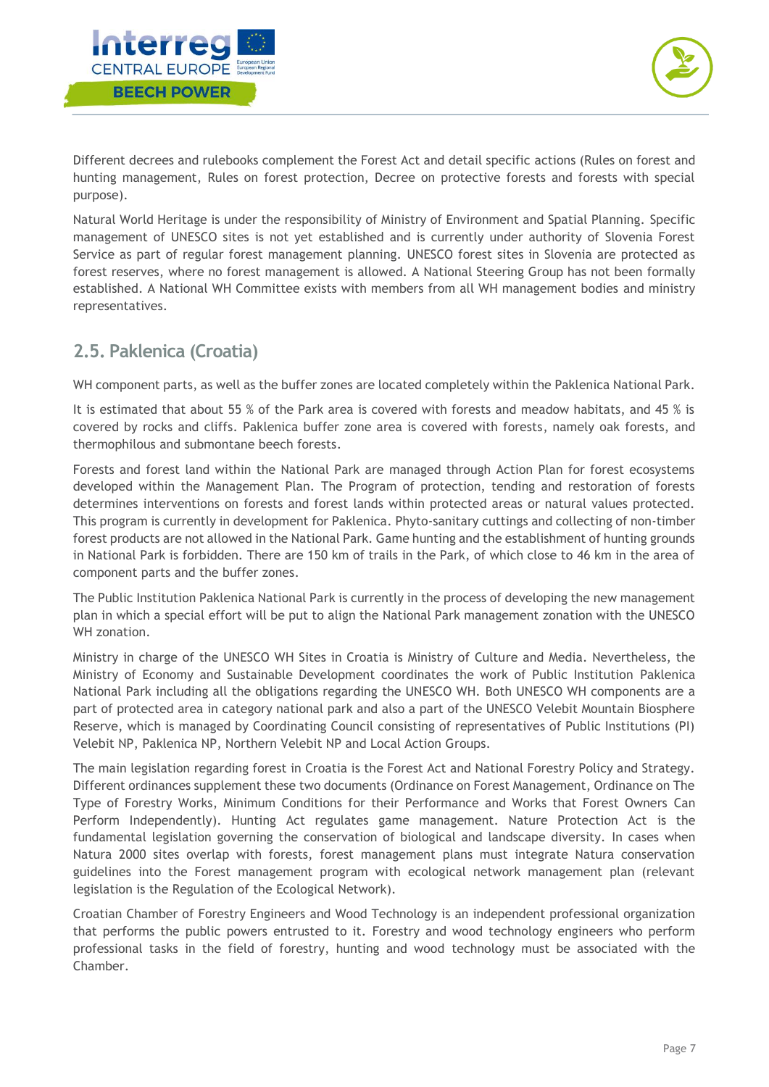



Different decrees and rulebooks complement the Forest Act and detail specific actions (Rules on forest and hunting management, Rules on forest protection, Decree on protective forests and forests with special purpose).

Natural World Heritage is under the responsibility of Ministry of Environment and Spatial Planning. Specific management of UNESCO sites is not yet established and is currently under authority of Slovenia Forest Service as part of regular forest management planning. UNESCO forest sites in Slovenia are protected as forest reserves, where no forest management is allowed. A National Steering Group has not been formally established. A National WH Committee exists with members from all WH management bodies and ministry representatives.

### <span id="page-7-0"></span>**2.5. Paklenica (Croatia)**

WH component parts, as well as the buffer zones are located completely within the Paklenica National Park.

It is estimated that about 55 % of the Park area is covered with forests and meadow habitats, and 45 % is covered by rocks and cliffs. Paklenica buffer zone area is covered with forests, namely oak forests, and thermophilous and submontane beech forests.

Forests and forest land within the National Park are managed through Action Plan for forest ecosystems developed within the Management Plan. The Program of protection, tending and restoration of forests determines interventions on forests and forest lands within protected areas or natural values protected. This program is currently in development for Paklenica. Phyto-sanitary cuttings and collecting of non-timber forest products are not allowed in the National Park. Game hunting and the establishment of hunting grounds in National Park is forbidden. There are 150 km of trails in the Park, of which close to 46 km in the area of component parts and the buffer zones.

The Public Institution Paklenica National Park is currently in the process of developing the new management plan in which a special effort will be put to align the National Park management zonation with the UNESCO WH zonation.

Ministry in charge of the UNESCO WH Sites in Croatia is Ministry of Culture and Media. Nevertheless, the Ministry of Economy and Sustainable Development coordinates the work of Public Institution Paklenica National Park including all the obligations regarding the UNESCO WH. Both UNESCO WH components are a part of protected area in category national park and also a part of the UNESCO Velebit Mountain Biosphere Reserve, which is managed by Coordinating Council consisting of representatives of Public Institutions (PI) Velebit NP, Paklenica NP, Northern Velebit NP and Local Action Groups.

The main legislation regarding forest in Croatia is the Forest Act and National Forestry Policy and Strategy. Different ordinances supplement these two documents (Ordinance on Forest Management, Ordinance on The Type of Forestry Works, Minimum Conditions for their Performance and Works that Forest Owners Can Perform Independently). Hunting Act regulates game management. Nature Protection Act is the fundamental legislation governing the conservation of biological and landscape diversity. In cases when Natura 2000 sites overlap with forests, forest management plans must integrate Natura conservation guidelines into the Forest management program with ecological network management plan (relevant legislation is the Regulation of the Ecological Network).

Croatian Chamber of Forestry Engineers and Wood Technology is an independent professional organization that performs the public powers entrusted to it. Forestry and wood technology engineers who perform professional tasks in the field of forestry, hunting and wood technology must be associated with the Chamber.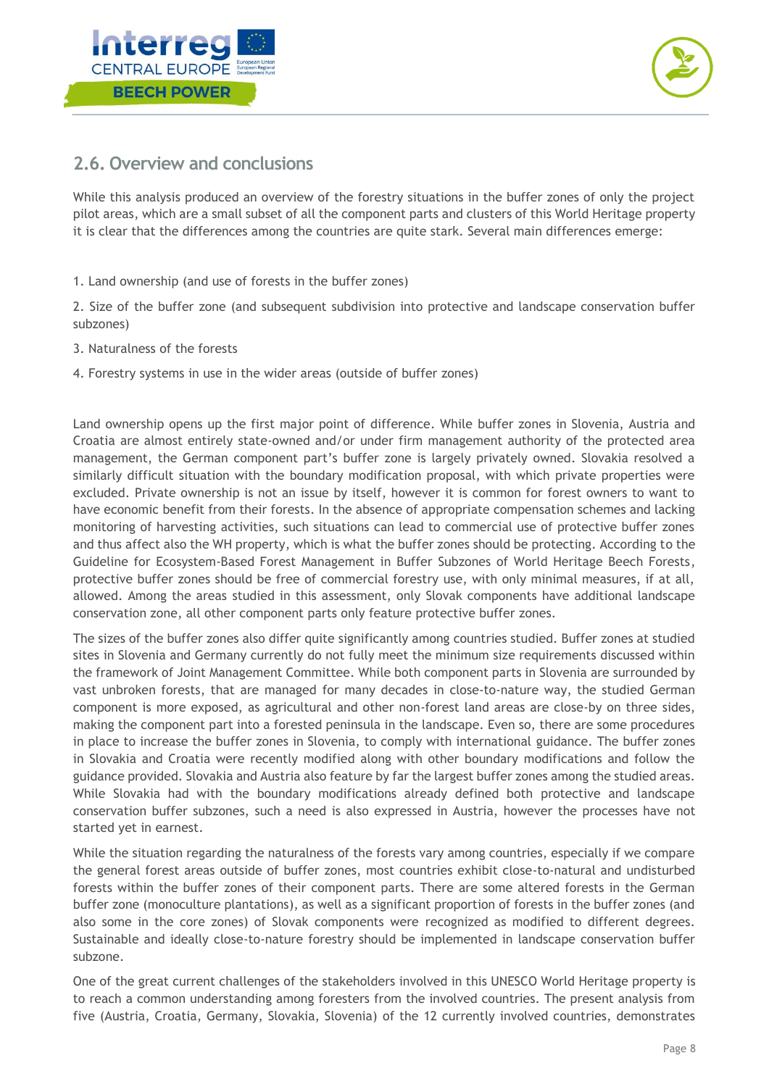



### <span id="page-8-0"></span>**2.6. Overview and conclusions**

While this analysis produced an overview of the forestry situations in the buffer zones of only the project pilot areas, which are a small subset of all the component parts and clusters of this World Heritage property it is clear that the differences among the countries are quite stark. Several main differences emerge:

1. Land ownership (and use of forests in the buffer zones)

2. Size of the buffer zone (and subsequent subdivision into protective and landscape conservation buffer subzones)

- 3. Naturalness of the forests
- 4. Forestry systems in use in the wider areas (outside of buffer zones)

Land ownership opens up the first major point of difference. While buffer zones in Slovenia, Austria and Croatia are almost entirely state-owned and/or under firm management authority of the protected area management, the German component part's buffer zone is largely privately owned. Slovakia resolved a similarly difficult situation with the boundary modification proposal, with which private properties were excluded. Private ownership is not an issue by itself, however it is common for forest owners to want to have economic benefit from their forests. In the absence of appropriate compensation schemes and lacking monitoring of harvesting activities, such situations can lead to commercial use of protective buffer zones and thus affect also the WH property, which is what the buffer zones should be protecting. According to the Guideline for Ecosystem-Based Forest Management in Buffer Subzones of World Heritage Beech Forests, protective buffer zones should be free of commercial forestry use, with only minimal measures, if at all, allowed. Among the areas studied in this assessment, only Slovak components have additional landscape conservation zone, all other component parts only feature protective buffer zones.

The sizes of the buffer zones also differ quite significantly among countries studied. Buffer zones at studied sites in Slovenia and Germany currently do not fully meet the minimum size requirements discussed within the framework of Joint Management Committee. While both component parts in Slovenia are surrounded by vast unbroken forests, that are managed for many decades in close-to-nature way, the studied German component is more exposed, as agricultural and other non-forest land areas are close-by on three sides, making the component part into a forested peninsula in the landscape. Even so, there are some procedures in place to increase the buffer zones in Slovenia, to comply with international guidance. The buffer zones in Slovakia and Croatia were recently modified along with other boundary modifications and follow the guidance provided. Slovakia and Austria also feature by far the largest buffer zones among the studied areas. While Slovakia had with the boundary modifications already defined both protective and landscape conservation buffer subzones, such a need is also expressed in Austria, however the processes have not started yet in earnest.

While the situation regarding the naturalness of the forests vary among countries, especially if we compare the general forest areas outside of buffer zones, most countries exhibit close-to-natural and undisturbed forests within the buffer zones of their component parts. There are some altered forests in the German buffer zone (monoculture plantations), as well as a significant proportion of forests in the buffer zones (and also some in the core zones) of Slovak components were recognized as modified to different degrees. Sustainable and ideally close-to-nature forestry should be implemented in landscape conservation buffer subzone.

One of the great current challenges of the stakeholders involved in this UNESCO World Heritage property is to reach a common understanding among foresters from the involved countries. The present analysis from five (Austria, Croatia, Germany, Slovakia, Slovenia) of the 12 currently involved countries, demonstrates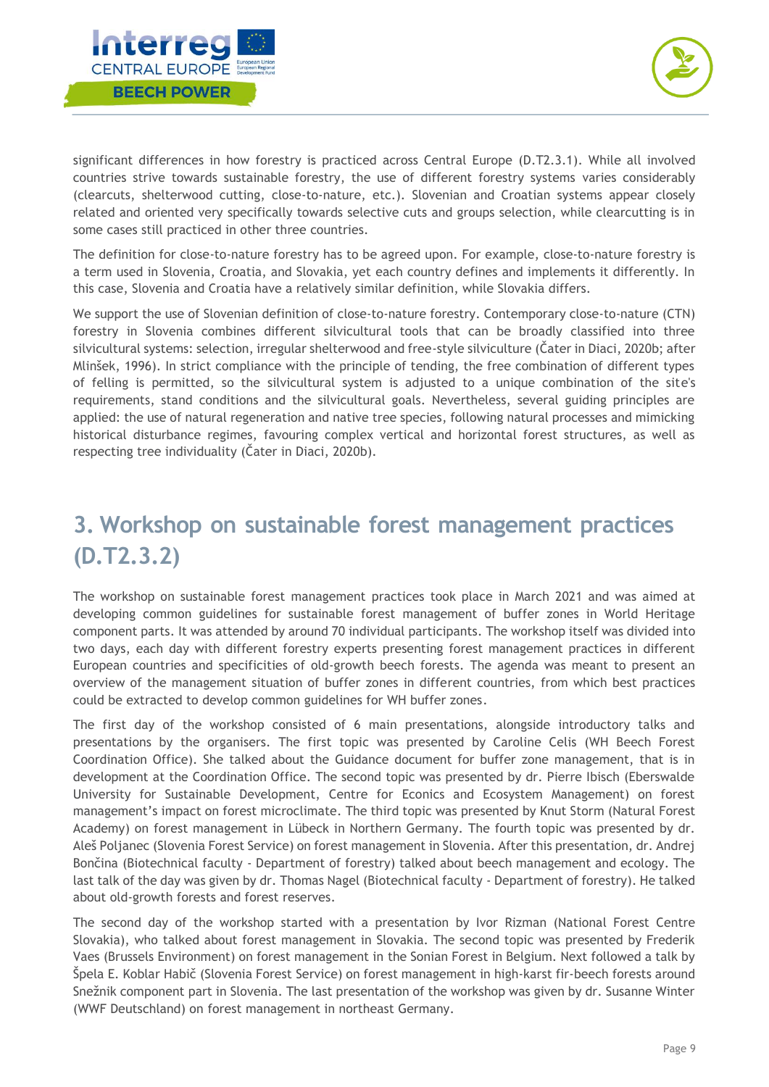



significant differences in how forestry is practiced across Central Europe (D.T2.3.1). While all involved countries strive towards sustainable forestry, the use of different forestry systems varies considerably (clearcuts, shelterwood cutting, close-to-nature, etc.). Slovenian and Croatian systems appear closely related and oriented very specifically towards selective cuts and groups selection, while clearcutting is in some cases still practiced in other three countries.

The definition for close-to-nature forestry has to be agreed upon. For example, close-to-nature forestry is a term used in Slovenia, Croatia, and Slovakia, yet each country defines and implements it differently. In this case, Slovenia and Croatia have a relatively similar definition, while Slovakia differs.

We support the use of Slovenian definition of close-to-nature forestry. Contemporary close-to-nature (CTN) forestry in Slovenia combines different silvicultural tools that can be broadly classified into three silvicultural systems: selection, irregular shelterwood and free-style silviculture (Čater in Diaci, 2020b; after Mlinšek, 1996). In strict compliance with the principle of tending, the free combination of different types of felling is permitted, so the silvicultural system is adjusted to a unique combination of the site's requirements, stand conditions and the silvicultural goals. Nevertheless, several guiding principles are applied: the use of natural regeneration and native tree species, following natural processes and mimicking historical disturbance regimes, favouring complex vertical and horizontal forest structures, as well as respecting tree individuality (Čater in Diaci, 2020b).

# <span id="page-9-0"></span>**3. Workshop on sustainable forest management practices (D.T2.3.2)**

The workshop on sustainable forest management practices took place in March 2021 and was aimed at developing common guidelines for sustainable forest management of buffer zones in World Heritage component parts. It was attended by around 70 individual participants. The workshop itself was divided into two days, each day with different forestry experts presenting forest management practices in different European countries and specificities of old-growth beech forests. The agenda was meant to present an overview of the management situation of buffer zones in different countries, from which best practices could be extracted to develop common guidelines for WH buffer zones.

The first day of the workshop consisted of 6 main presentations, alongside introductory talks and presentations by the organisers. The first topic was presented by Caroline Celis (WH Beech Forest Coordination Office). She talked about the Guidance document for buffer zone management, that is in development at the Coordination Office. The second topic was presented by dr. Pierre Ibisch (Eberswalde University for Sustainable Development, Centre for Econics and Ecosystem Management) on forest management's impact on forest microclimate. The third topic was presented by Knut Storm (Natural Forest Academy) on forest management in Lübeck in Northern Germany. The fourth topic was presented by dr. Aleš Poljanec (Slovenia Forest Service) on forest management in Slovenia. After this presentation, dr. Andrej Bončina (Biotechnical faculty - Department of forestry) talked about beech management and ecology. The last talk of the day was given by dr. Thomas Nagel (Biotechnical faculty - Department of forestry). He talked about old-growth forests and forest reserves.

The second day of the workshop started with a presentation by Ivor Rizman (National Forest Centre Slovakia), who talked about forest management in Slovakia. The second topic was presented by Frederik Vaes (Brussels Environment) on forest management in the Sonian Forest in Belgium. Next followed a talk by Špela E. Koblar Habič (Slovenia Forest Service) on forest management in high-karst fir-beech forests around Snežnik component part in Slovenia. The last presentation of the workshop was given by dr. Susanne Winter (WWF Deutschland) on forest management in northeast Germany.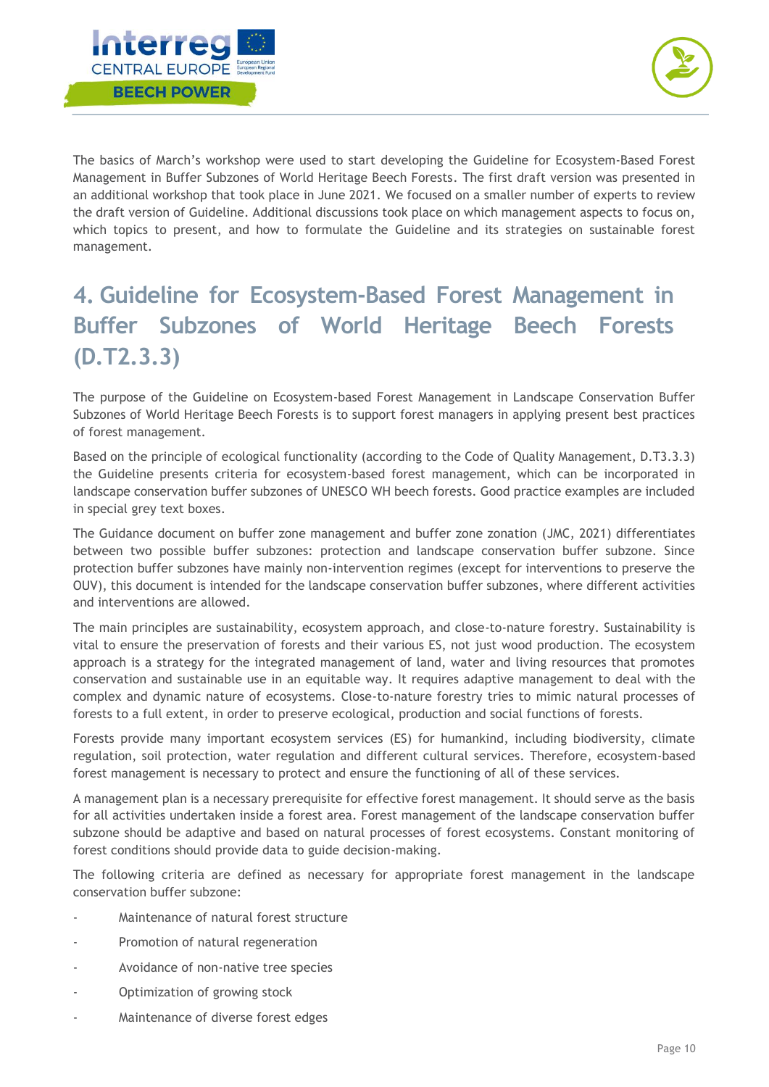



The basics of March's workshop were used to start developing the Guideline for Ecosystem-Based Forest Management in Buffer Subzones of World Heritage Beech Forests. The first draft version was presented in an additional workshop that took place in June 2021. We focused on a smaller number of experts to review the draft version of Guideline. Additional discussions took place on which management aspects to focus on, which topics to present, and how to formulate the Guideline and its strategies on sustainable forest management.

# <span id="page-10-0"></span>**4. Guideline for Ecosystem-Based Forest Management in Buffer Subzones of World Heritage Beech Forests (D.T2.3.3)**

The purpose of the Guideline on Ecosystem-based Forest Management in Landscape Conservation Buffer Subzones of World Heritage Beech Forests is to support forest managers in applying present best practices of forest management.

Based on the principle of ecological functionality (according to the Code of Quality Management, D.T3.3.3) the Guideline presents criteria for ecosystem-based forest management, which can be incorporated in landscape conservation buffer subzones of UNESCO WH beech forests. Good practice examples are included in special grey text boxes.

The Guidance document on buffer zone management and buffer zone zonation (JMC, 2021) differentiates between two possible buffer subzones: protection and landscape conservation buffer subzone. Since protection buffer subzones have mainly non-intervention regimes (except for interventions to preserve the OUV), this document is intended for the landscape conservation buffer subzones, where different activities and interventions are allowed.

The main principles are sustainability, ecosystem approach, and close-to-nature forestry. Sustainability is vital to ensure the preservation of forests and their various ES, not just wood production. The ecosystem approach is a strategy for the integrated management of land, water and living resources that promotes conservation and sustainable use in an equitable way. It requires adaptive management to deal with the complex and dynamic nature of ecosystems. Close-to-nature forestry tries to mimic natural processes of forests to a full extent, in order to preserve ecological, production and social functions of forests.

Forests provide many important ecosystem services (ES) for humankind, including biodiversity, climate regulation, soil protection, water regulation and different cultural services. Therefore, ecosystem-based forest management is necessary to protect and ensure the functioning of all of these services.

A management plan is a necessary prerequisite for effective forest management. It should serve as the basis for all activities undertaken inside a forest area. Forest management of the landscape conservation buffer subzone should be adaptive and based on natural processes of forest ecosystems. Constant monitoring of forest conditions should provide data to guide decision-making.

The following criteria are defined as necessary for appropriate forest management in the landscape conservation buffer subzone:

- Maintenance of natural forest structure
- Promotion of natural regeneration
- Avoidance of non-native tree species
- Optimization of growing stock
- Maintenance of diverse forest edges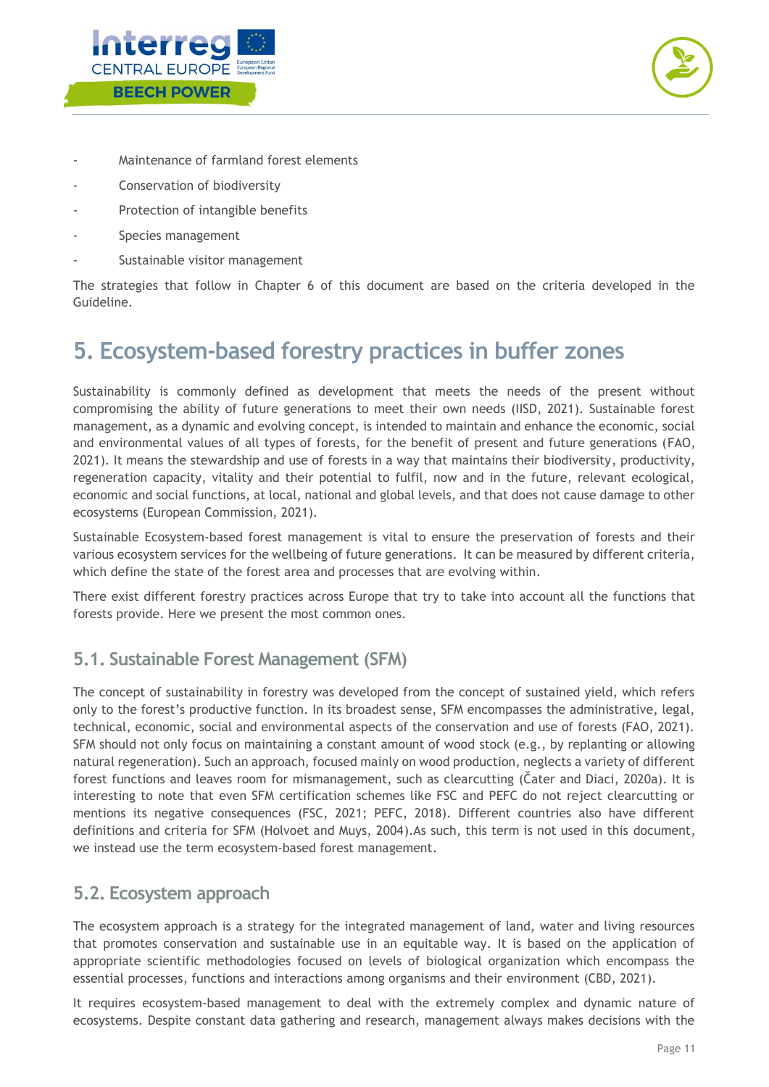



- Maintenance of farmland forest elements
- Conservation of biodiversity
- Protection of intangible benefits
- Species management
- Sustainable visitor management

The strategies that follow in Chapter 6 of this document are based on the criteria developed in the Guideline.

## <span id="page-11-0"></span>**5. Ecosystem-based forestry practices in buffer zones**

Sustainability is commonly defined as development that meets the needs of the present without compromising the ability of future generations to meet their own needs (IISD, 2021). Sustainable forest management, as a dynamic and evolving concept, is intended to maintain and enhance the economic, social and environmental values of all types of forests, for the benefit of present and future generations (FAO, 2021). It means the stewardship and use of forests in a way that maintains their biodiversity, productivity, regeneration capacity, vitality and their potential to fulfil, now and in the future, relevant ecological, economic and social functions, at local, national and global levels, and that does not cause damage to other ecosystems (European Commission, 2021).

Sustainable Ecosystem-based forest management is vital to ensure the preservation of forests and their various ecosystem services for the wellbeing of future generations. It can be measured by different criteria, which define the state of the forest area and processes that are evolving within.

There exist different forestry practices across Europe that try to take into account all the functions that forests provide. Here we present the most common ones.

### <span id="page-11-1"></span>**5.1. Sustainable Forest Management (SFM)**

The concept of sustainability in forestry was developed from the concept of sustained yield, which refers only to the forest's productive function. In its broadest sense, SFM encompasses the administrative, legal, technical, economic, social and environmental aspects of the conservation and use of forests (FAO, 2021). SFM should not only focus on maintaining a constant amount of wood stock (e.g., by replanting or allowing natural regeneration). Such an approach, focused mainly on wood production, neglects a variety of different forest functions and leaves room for mismanagement, such as clearcutting (Čater and Diaci, 2020a). It is interesting to note that even SFM certification schemes like FSC and PEFC do not reject clearcutting or mentions its negative consequences (FSC, 2021; PEFC, 2018). Different countries also have different definitions and criteria for SFM (Holvoet and Muys, 2004).As such, this term is not used in this document, we instead use the term ecosystem-based forest management.

#### <span id="page-11-2"></span>**5.2. Ecosystem approach**

The ecosystem approach is a strategy for the integrated management of land, water and living resources that promotes conservation and sustainable use in an equitable way. It is based on the application of appropriate scientific methodologies focused on levels of biological organization which encompass the essential processes, functions and interactions among organisms and their environment (CBD, 2021).

It requires ecosystem-based management to deal with the extremely complex and dynamic nature of ecosystems. Despite constant data gathering and research, management always makes decisions with the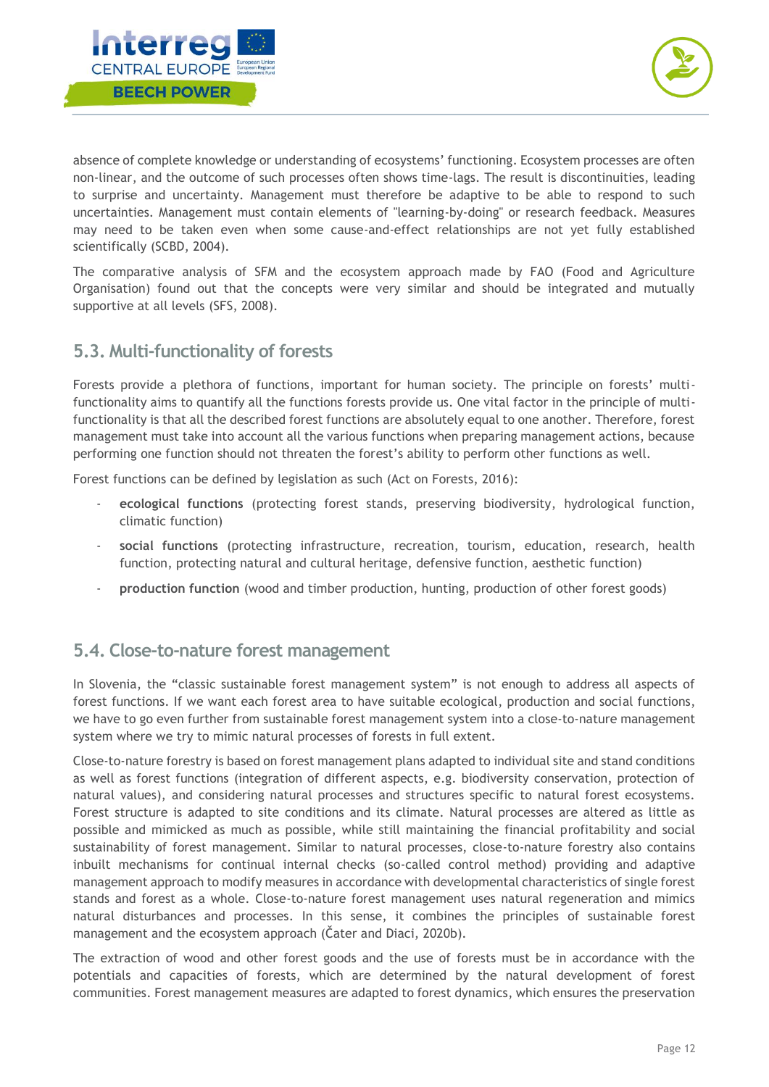



absence of complete knowledge or understanding of ecosystems' functioning. Ecosystem processes are often non-linear, and the outcome of such processes often shows time-lags. The result is discontinuities, leading to surprise and uncertainty. Management must therefore be adaptive to be able to respond to such uncertainties. Management must contain elements of "learning-by-doing" or research feedback. Measures may need to be taken even when some cause-and-effect relationships are not yet fully established scientifically (SCBD, 2004).

The comparative analysis of SFM and the ecosystem approach made by FAO (Food and Agriculture Organisation) found out that the concepts were very similar and should be integrated and mutually supportive at all levels (SFS, 2008).

### <span id="page-12-0"></span>**5.3. Multi-functionality of forests**

Forests provide a plethora of functions, important for human society. The principle on forests' multifunctionality aims to quantify all the functions forests provide us. One vital factor in the principle of multifunctionality is that all the described forest functions are absolutely equal to one another. Therefore, forest management must take into account all the various functions when preparing management actions, because performing one function should not threaten the forest's ability to perform other functions as well.

Forest functions can be defined by legislation as such (Act on Forests, 2016):

- **ecological functions** (protecting forest stands, preserving biodiversity, hydrological function, climatic function)
- **social functions** (protecting infrastructure, recreation, tourism, education, research, health function, protecting natural and cultural heritage, defensive function, aesthetic function)
- **production function** (wood and timber production, hunting, production of other forest goods)

#### <span id="page-12-1"></span>**5.4. Close-to-nature forest management**

In Slovenia, the "classic sustainable forest management system" is not enough to address all aspects of forest functions. If we want each forest area to have suitable ecological, production and social functions, we have to go even further from sustainable forest management system into a close-to-nature management system where we try to mimic natural processes of forests in full extent.

Close-to-nature forestry is based on forest management plans adapted to individual site and stand conditions as well as forest functions (integration of different aspects, e.g. biodiversity conservation, protection of natural values), and considering natural processes and structures specific to natural forest ecosystems. Forest structure is adapted to site conditions and its climate. Natural processes are altered as little as possible and mimicked as much as possible, while still maintaining the financial profitability and social sustainability of forest management. Similar to natural processes, close-to-nature forestry also contains inbuilt mechanisms for continual internal checks (so-called control method) providing and adaptive management approach to modify measures in accordance with developmental characteristics of single forest stands and forest as a whole. Close-to-nature forest management uses natural regeneration and mimics natural disturbances and processes. In this sense, it combines the principles of sustainable forest management and the ecosystem approach (Čater and Diaci, 2020b).

The extraction of wood and other forest goods and the use of forests must be in accordance with the potentials and capacities of forests, which are determined by the natural development of forest communities. Forest management measures are adapted to forest dynamics, which ensures the preservation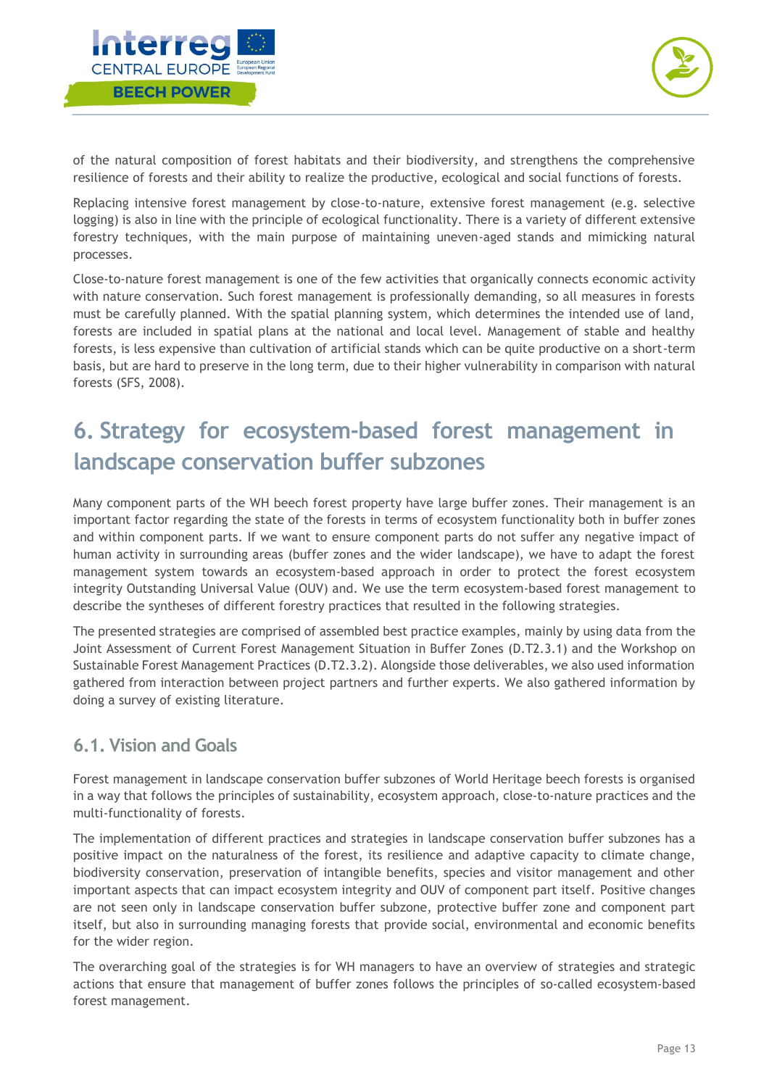



of the natural composition of forest habitats and their biodiversity, and strengthens the comprehensive resilience of forests and their ability to realize the productive, ecological and social functions of forests.

Replacing intensive forest management by close-to-nature, extensive forest management (e.g. selective logging) is also in line with the principle of ecological functionality. There is a variety of different extensive forestry techniques, with the main purpose of maintaining uneven-aged stands and mimicking natural processes.

Close-to-nature forest management is one of the few activities that organically connects economic activity with nature conservation. Such forest management is professionally demanding, so all measures in forests must be carefully planned. With the spatial planning system, which determines the intended use of land, forests are included in spatial plans at the national and local level. Management of stable and healthy forests, is less expensive than cultivation of artificial stands which can be quite productive on a short-term basis, but are hard to preserve in the long term, due to their higher vulnerability in comparison with natural forests (SFS, 2008).

# <span id="page-13-0"></span>**6. Strategy for ecosystem-based forest management in landscape conservation buffer subzones**

Many component parts of the WH beech forest property have large buffer zones. Their management is an important factor regarding the state of the forests in terms of ecosystem functionality both in buffer zones and within component parts. If we want to ensure component parts do not suffer any negative impact of human activity in surrounding areas (buffer zones and the wider landscape), we have to adapt the forest management system towards an ecosystem-based approach in order to protect the forest ecosystem integrity Outstanding Universal Value (OUV) and. We use the term ecosystem-based forest management to describe the syntheses of different forestry practices that resulted in the following strategies.

The presented strategies are comprised of assembled best practice examples, mainly by using data from the Joint Assessment of Current Forest Management Situation in Buffer Zones (D.T2.3.1) and the Workshop on Sustainable Forest Management Practices (D.T2.3.2). Alongside those deliverables, we also used information gathered from interaction between project partners and further experts. We also gathered information by doing a survey of existing literature.

### <span id="page-13-1"></span>**6.1. Vision and Goals**

Forest management in landscape conservation buffer subzones of World Heritage beech forests is organised in a way that follows the principles of sustainability, ecosystem approach, close-to-nature practices and the multi-functionality of forests.

The implementation of different practices and strategies in landscape conservation buffer subzones has a positive impact on the naturalness of the forest, its resilience and adaptive capacity to climate change, biodiversity conservation, preservation of intangible benefits, species and visitor management and other important aspects that can impact ecosystem integrity and OUV of component part itself. Positive changes are not seen only in landscape conservation buffer subzone, protective buffer zone and component part itself, but also in surrounding managing forests that provide social, environmental and economic benefits for the wider region.

The overarching goal of the strategies is for WH managers to have an overview of strategies and strategic actions that ensure that management of buffer zones follows the principles of so-called ecosystem-based forest management.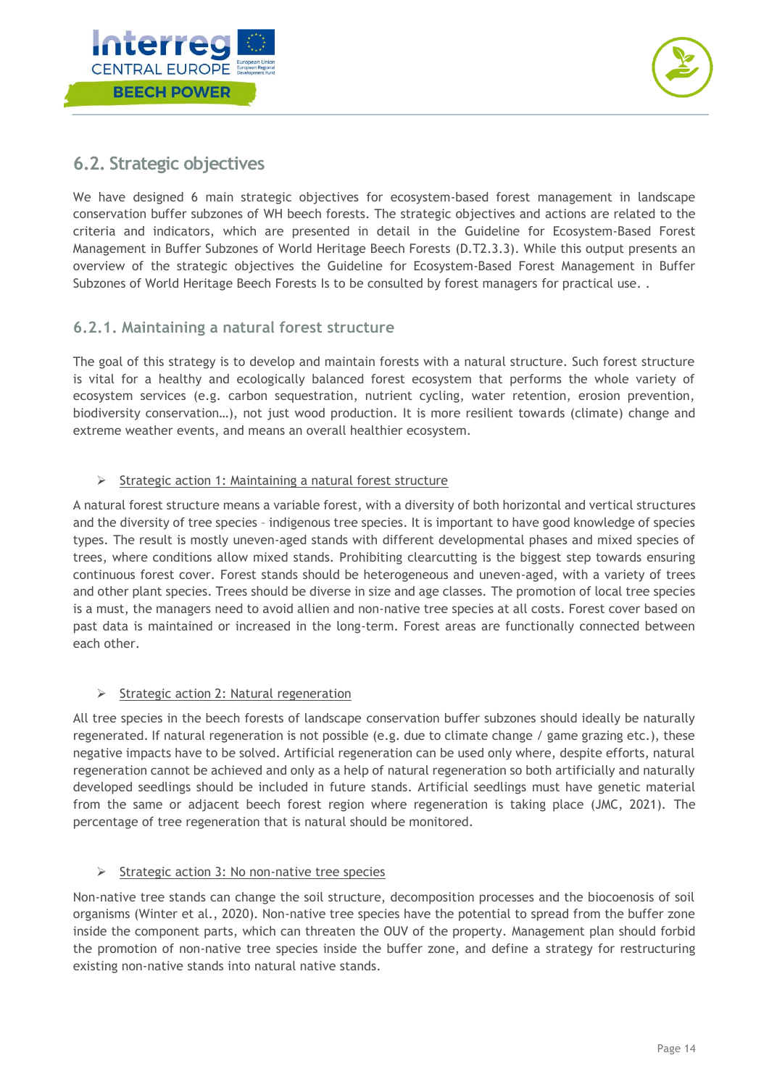



### <span id="page-14-0"></span>**6.2. Strategic objectives**

We have designed 6 main strategic objectives for ecosystem-based forest management in landscape conservation buffer subzones of WH beech forests. The strategic objectives and actions are related to the criteria and indicators, which are presented in detail in the Guideline for Ecosystem-Based Forest Management in Buffer Subzones of World Heritage Beech Forests (D.T2.3.3). While this output presents an overview of the strategic objectives the Guideline for Ecosystem-Based Forest Management in Buffer Subzones of World Heritage Beech Forests Is to be consulted by forest managers for practical use. .

#### <span id="page-14-1"></span>**6.2.1. Maintaining a natural forest structure**

The goal of this strategy is to develop and maintain forests with a natural structure. Such forest structure is vital for a healthy and ecologically balanced forest ecosystem that performs the whole variety of ecosystem services (e.g. carbon sequestration, nutrient cycling, water retention, erosion prevention, biodiversity conservation…), not just wood production. It is more resilient towards (climate) change and extreme weather events, and means an overall healthier ecosystem.

#### $\triangleright$  Strategic action 1: Maintaining a natural forest structure

A natural forest structure means a variable forest, with a diversity of both horizontal and vertical structures and the diversity of tree species – indigenous tree species. It is important to have good knowledge of species types. The result is mostly uneven-aged stands with different developmental phases and mixed species of trees, where conditions allow mixed stands. Prohibiting clearcutting is the biggest step towards ensuring continuous forest cover. Forest stands should be heterogeneous and uneven-aged, with a variety of trees and other plant species. Trees should be diverse in size and age classes. The promotion of local tree species is a must, the managers need to avoid allien and non-native tree species at all costs. Forest cover based on past data is maintained or increased in the long-term. Forest areas are functionally connected between each other.

#### $\triangleright$  Strategic action 2: Natural regeneration

All tree species in the beech forests of landscape conservation buffer subzones should ideally be naturally regenerated. If natural regeneration is not possible (e.g. due to climate change / game grazing etc.), these negative impacts have to be solved. Artificial regeneration can be used only where, despite efforts, natural regeneration cannot be achieved and only as a help of natural regeneration so both artificially and naturally developed seedlings should be included in future stands. Artificial seedlings must have genetic material from the same or adjacent beech forest region where regeneration is taking place (JMC, 2021). The percentage of tree regeneration that is natural should be monitored.

#### $\triangleright$  Strategic action 3: No non-native tree species

Non-native tree stands can change the soil structure, decomposition processes and the biocoenosis of soil organisms (Winter et al., 2020). Non-native tree species have the potential to spread from the buffer zone inside the component parts, which can threaten the OUV of the property. Management plan should forbid the promotion of non-native tree species inside the buffer zone, and define a strategy for restructuring existing non-native stands into natural native stands.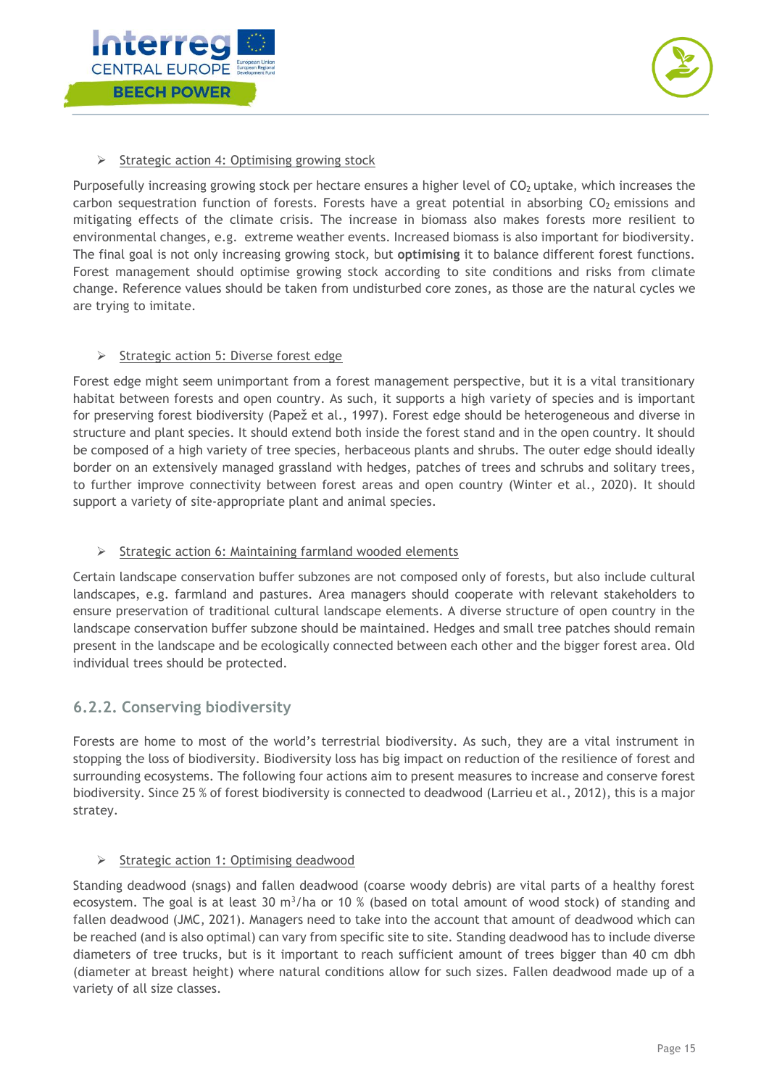



#### $\triangleright$  Strategic action 4: Optimising growing stock

Purposefully increasing growing stock per hectare ensures a higher level of  $CO<sub>2</sub>$  uptake, which increases the carbon sequestration function of forests. Forests have a great potential in absorbing  $CO<sub>2</sub>$  emissions and mitigating effects of the climate crisis. The increase in biomass also makes forests more resilient to environmental changes, e.g. extreme weather events. Increased biomass is also important for biodiversity. The final goal is not only increasing growing stock, but **optimising** it to balance different forest functions. Forest management should optimise growing stock according to site conditions and risks from climate change. Reference values should be taken from undisturbed core zones, as those are the natural cycles we are trying to imitate.

#### $\triangleright$  Strategic action 5: Diverse forest edge

Forest edge might seem unimportant from a forest management perspective, but it is a vital transitionary habitat between forests and open country. As such, it supports a high variety of species and is important for preserving forest biodiversity (Papež et al., 1997). Forest edge should be heterogeneous and diverse in structure and plant species. It should extend both inside the forest stand and in the open country. It should be composed of a high variety of tree species, herbaceous plants and shrubs. The outer edge should ideally border on an extensively managed grassland with hedges, patches of trees and schrubs and solitary trees, to further improve connectivity between forest areas and open country (Winter et al., 2020). It should support a variety of site-appropriate plant and animal species.

#### $\triangleright$  Strategic action 6: Maintaining farmland wooded elements

Certain landscape conservation buffer subzones are not composed only of forests, but also include cultural landscapes, e.g. farmland and pastures. Area managers should cooperate with relevant stakeholders to ensure preservation of traditional cultural landscape elements. A diverse structure of open country in the landscape conservation buffer subzone should be maintained. Hedges and small tree patches should remain present in the landscape and be ecologically connected between each other and the bigger forest area. Old individual trees should be protected.

#### <span id="page-15-0"></span>**6.2.2. Conserving biodiversity**

Forests are home to most of the world's terrestrial biodiversity. As such, they are a vital instrument in stopping the loss of biodiversity. Biodiversity loss has big impact on reduction of the resilience of forest and surrounding ecosystems. The following four actions aim to present measures to increase and conserve forest biodiversity. Since 25 % of forest biodiversity is connected to deadwood (Larrieu et al., 2012), this is a major stratey.

#### $\triangleright$  Strategic action 1: Optimising deadwood

Standing deadwood (snags) and fallen deadwood (coarse woody debris) are vital parts of a healthy forest ecosystem. The goal is at least 30 m<sup>3</sup>/ha or 10 % (based on total amount of wood stock) of standing and fallen deadwood (JMC, 2021). Managers need to take into the account that amount of deadwood which can be reached (and is also optimal) can vary from specific site to site. Standing deadwood has to include diverse diameters of tree trucks, but is it important to reach sufficient amount of trees bigger than 40 cm dbh (diameter at breast height) where natural conditions allow for such sizes. Fallen deadwood made up of a variety of all size classes.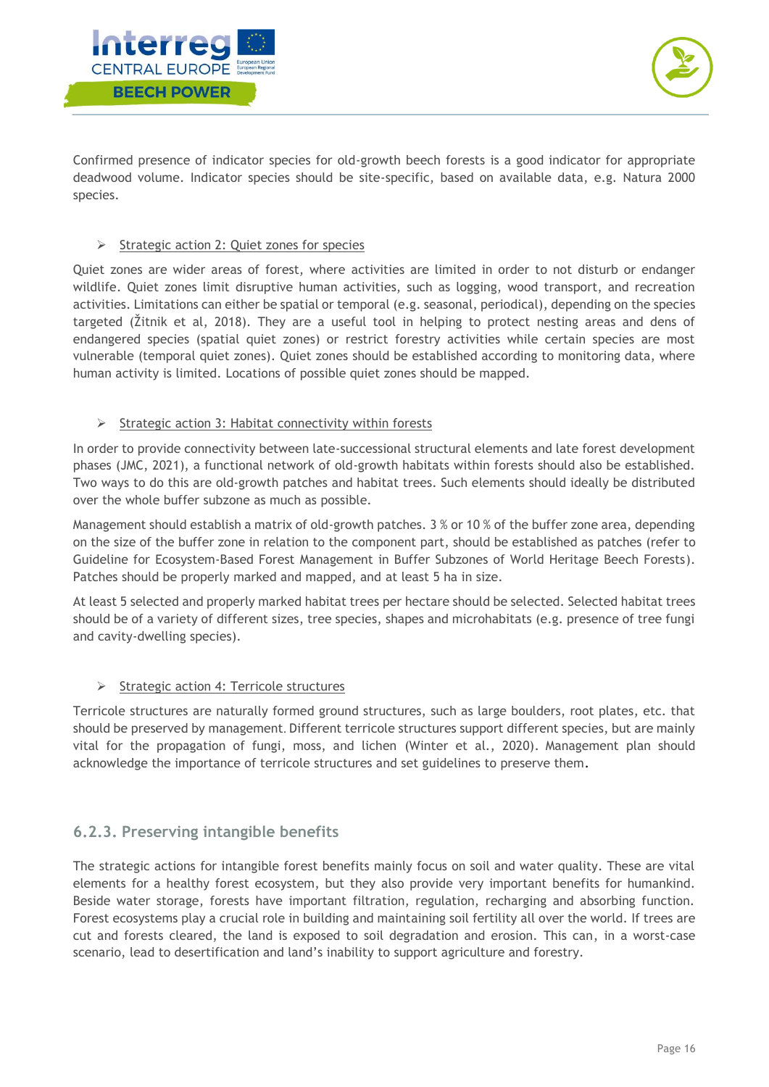



Confirmed presence of indicator species for old-growth beech forests is a good indicator for appropriate deadwood volume. Indicator species should be site-specific, based on available data, e.g. Natura 2000 species.

#### $\triangleright$  Strategic action 2: Quiet zones for species

Quiet zones are wider areas of forest, where activities are limited in order to not disturb or endanger wildlife. Quiet zones limit disruptive human activities, such as logging, wood transport, and recreation activities. Limitations can either be spatial or temporal (e.g. seasonal, periodical), depending on the species targeted (Žitnik et al, 2018). They are a useful tool in helping to protect nesting areas and dens of endangered species (spatial quiet zones) or restrict forestry activities while certain species are most vulnerable (temporal quiet zones). Quiet zones should be established according to monitoring data, where human activity is limited. Locations of possible quiet zones should be mapped.

#### $\triangleright$  Strategic action 3: Habitat connectivity within forests

In order to provide connectivity between late-successional structural elements and late forest development phases (JMC, 2021), a functional network of old-growth habitats within forests should also be established. Two ways to do this are old-growth patches and habitat trees. Such elements should ideally be distributed over the whole buffer subzone as much as possible.

Management should establish a matrix of old-growth patches. 3 % or 10 % of the buffer zone area, depending on the size of the buffer zone in relation to the component part, should be established as patches (refer to Guideline for Ecosystem-Based Forest Management in Buffer Subzones of World Heritage Beech Forests). Patches should be properly marked and mapped, and at least 5 ha in size.

At least 5 selected and properly marked habitat trees per hectare should be selected. Selected habitat trees should be of a variety of different sizes, tree species, shapes and microhabitats (e.g. presence of tree fungi and cavity-dwelling species).

#### $\triangleright$  Strategic action 4: Terricole structures

Terricole structures are naturally formed ground structures, such as large boulders, root plates, etc. that should be preserved by management. Different terricole structures support different species, but are mainly vital for the propagation of fungi, moss, and lichen (Winter et al., 2020). Management plan should acknowledge the importance of terricole structures and set guidelines to preserve them.

#### <span id="page-16-0"></span>**6.2.3. Preserving intangible benefits**

The strategic actions for intangible forest benefits mainly focus on soil and water quality. These are vital elements for a healthy forest ecosystem, but they also provide very important benefits for humankind. Beside water storage, forests have important filtration, regulation, recharging and absorbing function. Forest ecosystems play a crucial role in building and maintaining soil fertility all over the world. If trees are cut and forests cleared, the land is exposed to soil degradation and erosion. This can, in a worst-case scenario, lead to desertification and land's inability to support agriculture and forestry.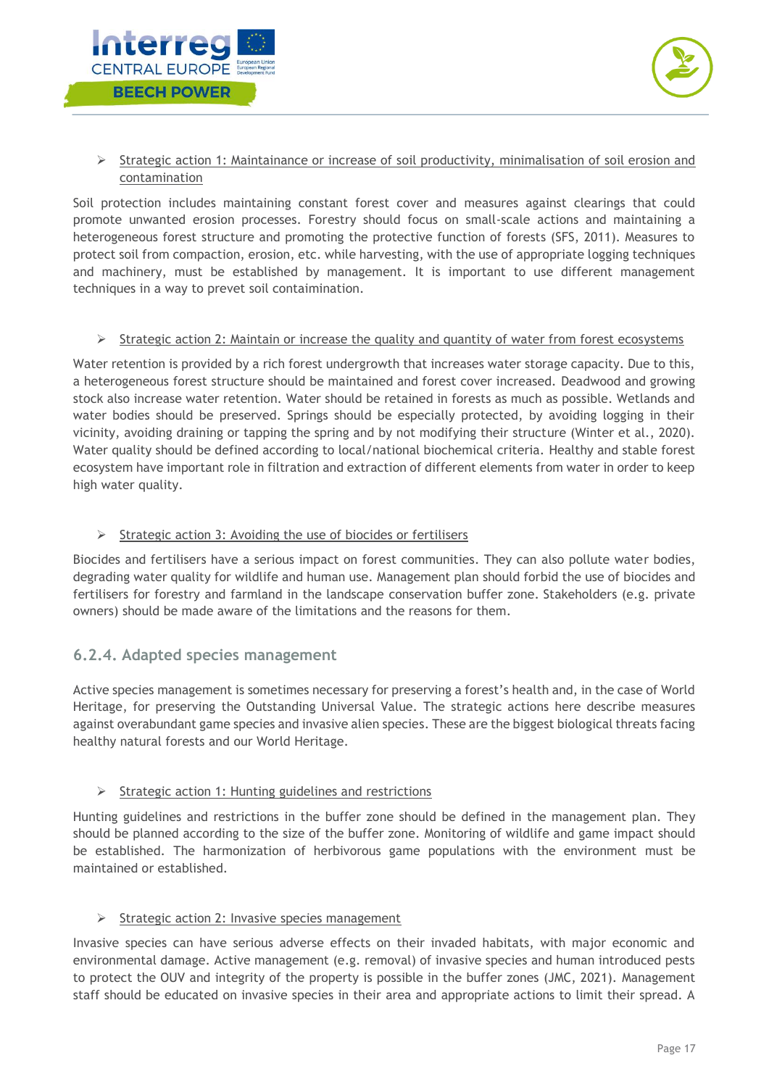



#### Strategic action 1: Maintainance or increase of soil productivity, minimalisation of soil erosion and contamination

Soil protection includes maintaining constant forest cover and measures against clearings that could promote unwanted erosion processes. Forestry should focus on small-scale actions and maintaining a heterogeneous forest structure and promoting the protective function of forests (SFS, 2011). Measures to protect soil from compaction, erosion, etc. while harvesting, with the use of appropriate logging techniques and machinery, must be established by management. It is important to use different management techniques in a way to prevet soil contaimination.

#### $\triangleright$  Strategic action 2: Maintain or increase the quality and quantity of water from forest ecosystems

Water retention is provided by a rich forest undergrowth that increases water storage capacity. Due to this, a heterogeneous forest structure should be maintained and forest cover increased. Deadwood and growing stock also increase water retention. Water should be retained in forests as much as possible. Wetlands and water bodies should be preserved. Springs should be especially protected, by avoiding logging in their vicinity, avoiding draining or tapping the spring and by not modifying their structure (Winter et al., 2020). Water quality should be defined according to local/national biochemical criteria. Healthy and stable forest ecosystem have important role in filtration and extraction of different elements from water in order to keep high water quality.

#### $\triangleright$  Strategic action 3: Avoiding the use of biocides or fertilisers

Biocides and fertilisers have a serious impact on forest communities. They can also pollute water bodies, degrading water quality for wildlife and human use. Management plan should forbid the use of biocides and fertilisers for forestry and farmland in the landscape conservation buffer zone. Stakeholders (e.g. private owners) should be made aware of the limitations and the reasons for them.

#### <span id="page-17-0"></span>**6.2.4. Adapted species management**

Active species management is sometimes necessary for preserving a forest's health and, in the case of World Heritage, for preserving the Outstanding Universal Value. The strategic actions here describe measures against overabundant game species and invasive alien species. These are the biggest biological threats facing healthy natural forests and our World Heritage.

#### $\triangleright$  Strategic action 1: Hunting guidelines and restrictions

Hunting guidelines and restrictions in the buffer zone should be defined in the management plan. They should be planned according to the size of the buffer zone. Monitoring of wildlife and game impact should be established. The harmonization of herbivorous game populations with the environment must be maintained or established.

#### $\triangleright$  Strategic action 2: Invasive species management

Invasive species can have serious adverse effects on their invaded habitats, with major economic and environmental damage. Active management (e.g. removal) of invasive species and human introduced pests to protect the OUV and integrity of the property is possible in the buffer zones (JMC, 2021). Management staff should be educated on invasive species in their area and appropriate actions to limit their spread. A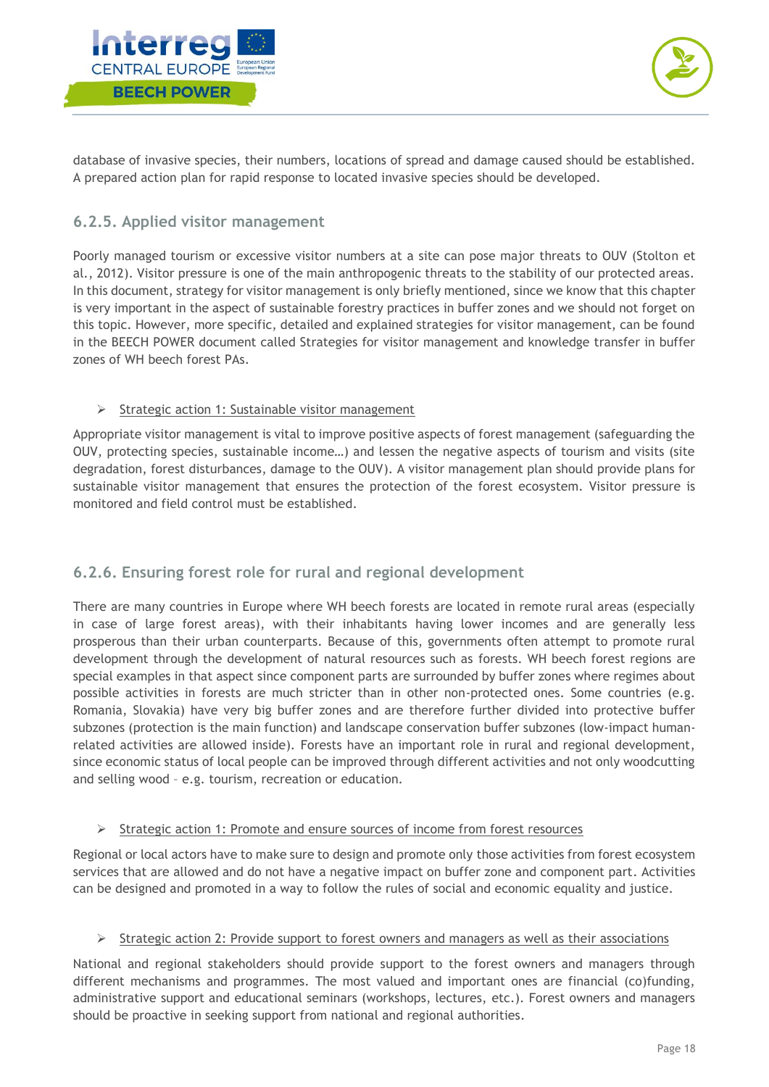



database of invasive species, their numbers, locations of spread and damage caused should be established. A prepared action plan for rapid response to located invasive species should be developed.

#### <span id="page-18-0"></span>**6.2.5. Applied visitor management**

Poorly managed tourism or excessive visitor numbers at a site can pose major threats to OUV (Stolton et al., 2012). Visitor pressure is one of the main anthropogenic threats to the stability of our protected areas. In this document, strategy for visitor management is only briefly mentioned, since we know that this chapter is very important in the aspect of sustainable forestry practices in buffer zones and we should not forget on this topic. However, more specific, detailed and explained strategies for visitor management, can be found in the BEECH POWER document called Strategies for visitor management and knowledge transfer in buffer zones of WH beech forest PAs.

#### $\triangleright$  Strategic action 1: Sustainable visitor management

Appropriate visitor management is vital to improve positive aspects of forest management (safeguarding the OUV, protecting species, sustainable income…) and lessen the negative aspects of tourism and visits (site degradation, forest disturbances, damage to the OUV). A visitor management plan should provide plans for sustainable visitor management that ensures the protection of the forest ecosystem. Visitor pressure is monitored and field control must be established.

#### <span id="page-18-1"></span>**6.2.6. Ensuring forest role for rural and regional development**

There are many countries in Europe where WH beech forests are located in remote rural areas (especially in case of large forest areas), with their inhabitants having lower incomes and are generally less prosperous than their urban counterparts. Because of this, governments often attempt to promote rural development through the development of natural resources such as forests. WH beech forest regions are special examples in that aspect since component parts are surrounded by buffer zones where regimes about possible activities in forests are much stricter than in other non-protected ones. Some countries (e.g. Romania, Slovakia) have very big buffer zones and are therefore further divided into protective buffer subzones (protection is the main function) and landscape conservation buffer subzones (low-impact humanrelated activities are allowed inside). Forests have an important role in rural and regional development, since economic status of local people can be improved through different activities and not only woodcutting and selling wood – e.g. tourism, recreation or education.

#### $\triangleright$  Strategic action 1: Promote and ensure sources of income from forest resources

Regional or local actors have to make sure to design and promote only those activities from forest ecosystem services that are allowed and do not have a negative impact on buffer zone and component part. Activities can be designed and promoted in a way to follow the rules of social and economic equality and justice.

#### $\triangleright$  Strategic action 2: Provide support to forest owners and managers as well as their associations

National and regional stakeholders should provide support to the forest owners and managers through different mechanisms and programmes. The most valued and important ones are financial (co)funding, administrative support and educational seminars (workshops, lectures, etc.). Forest owners and managers should be proactive in seeking support from national and regional authorities.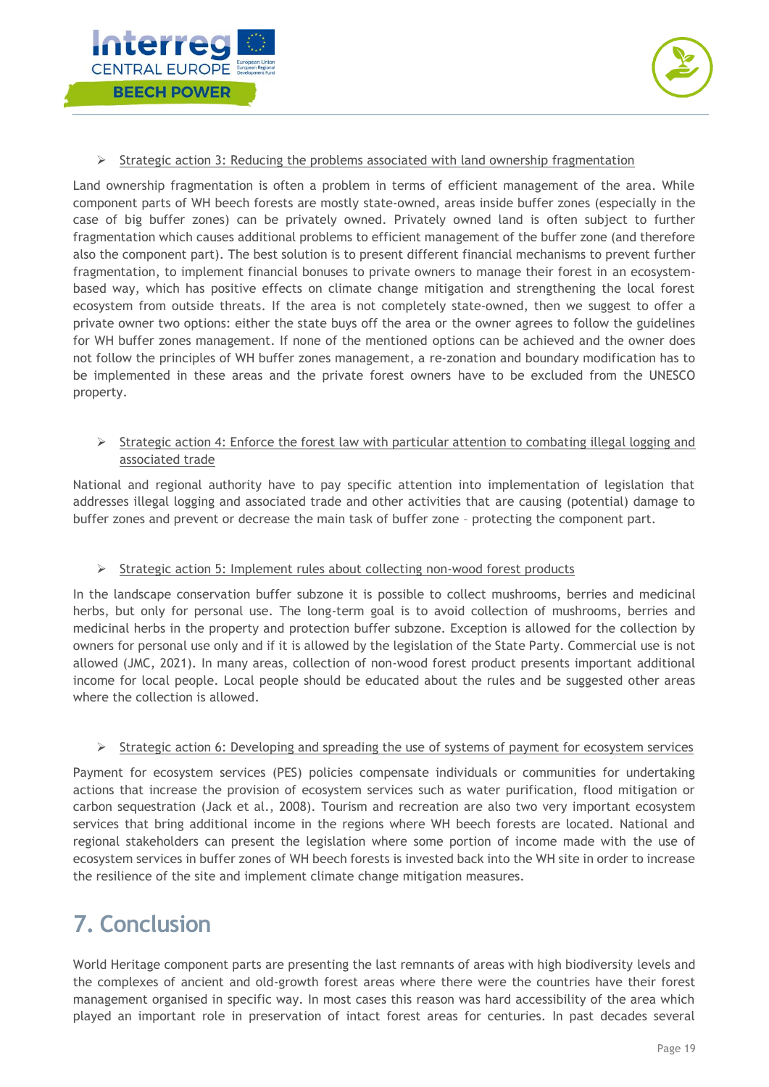



#### $\triangleright$  Strategic action 3: Reducing the problems associated with land ownership fragmentation

Land ownership fragmentation is often a problem in terms of efficient management of the area. While component parts of WH beech forests are mostly state-owned, areas inside buffer zones (especially in the case of big buffer zones) can be privately owned. Privately owned land is often subject to further fragmentation which causes additional problems to efficient management of the buffer zone (and therefore also the component part). The best solution is to present different financial mechanisms to prevent further fragmentation, to implement financial bonuses to private owners to manage their forest in an ecosystembased way, which has positive effects on climate change mitigation and strengthening the local forest ecosystem from outside threats. If the area is not completely state-owned, then we suggest to offer a private owner two options: either the state buys off the area or the owner agrees to follow the guidelines for WH buffer zones management. If none of the mentioned options can be achieved and the owner does not follow the principles of WH buffer zones management, a re-zonation and boundary modification has to be implemented in these areas and the private forest owners have to be excluded from the UNESCO property.

#### $\triangleright$  Strategic action 4: Enforce the forest law with particular attention to combating illegal logging and associated trade

National and regional authority have to pay specific attention into implementation of legislation that addresses illegal logging and associated trade and other activities that are causing (potential) damage to buffer zones and prevent or decrease the main task of buffer zone – protecting the component part.

#### $\triangleright$  Strategic action 5: Implement rules about collecting non-wood forest products

In the landscape conservation buffer subzone it is possible to collect mushrooms, berries and medicinal herbs, but only for personal use. The long-term goal is to avoid collection of mushrooms, berries and medicinal herbs in the property and protection buffer subzone. Exception is allowed for the collection by owners for personal use only and if it is allowed by the legislation of the State Party. Commercial use is not allowed (JMC, 2021). In many areas, collection of non-wood forest product presents important additional income for local people. Local people should be educated about the rules and be suggested other areas where the collection is allowed.

#### $\triangleright$  Strategic action 6: Developing and spreading the use of systems of payment for ecosystem services

Payment for ecosystem services (PES) policies compensate individuals or communities for undertaking actions that increase the provision of ecosystem services such as water purification, flood mitigation or carbon sequestration (Jack et al., 2008). Tourism and recreation are also two very important ecosystem services that bring additional income in the regions where WH beech forests are located. National and regional stakeholders can present the legislation where some portion of income made with the use of ecosystem services in buffer zones of WH beech forests is invested back into the WH site in order to increase the resilience of the site and implement climate change mitigation measures.

# <span id="page-19-0"></span>**7. Conclusion**

World Heritage component parts are presenting the last remnants of areas with high biodiversity levels and the complexes of ancient and old-growth forest areas where there were the countries have their forest management organised in specific way. In most cases this reason was hard accessibility of the area which played an important role in preservation of intact forest areas for centuries. In past decades several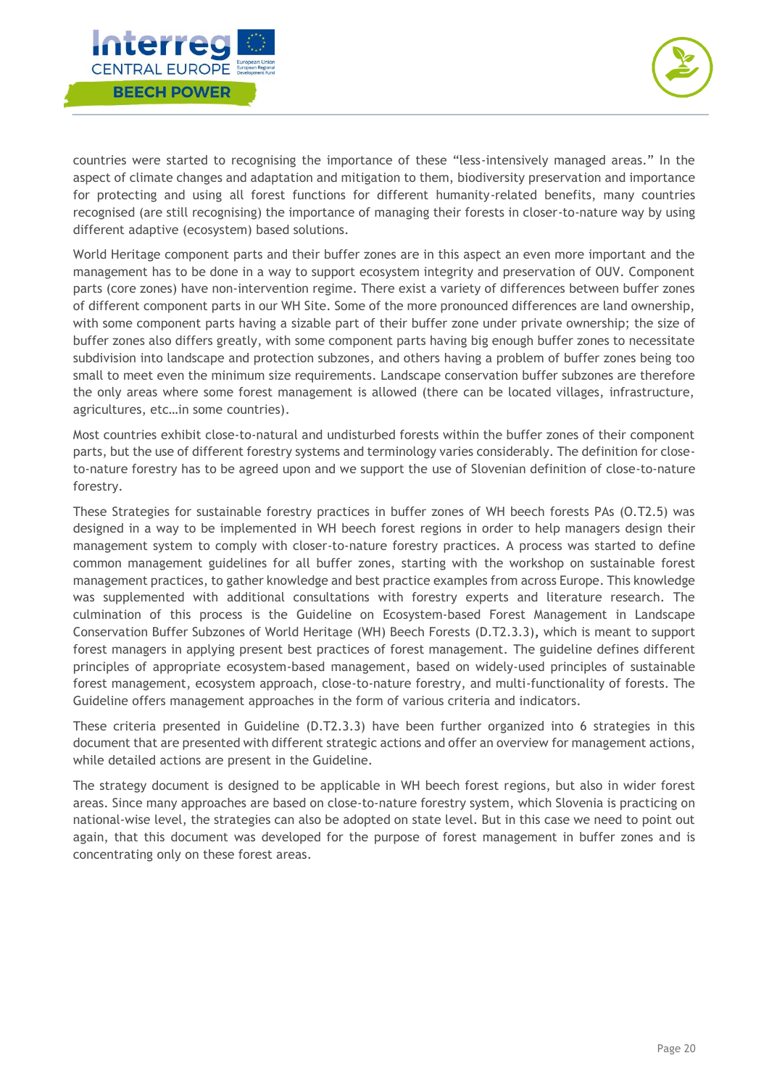



countries were started to recognising the importance of these "less-intensively managed areas." In the aspect of climate changes and adaptation and mitigation to them, biodiversity preservation and importance for protecting and using all forest functions for different humanity-related benefits, many countries recognised (are still recognising) the importance of managing their forests in closer-to-nature way by using different adaptive (ecosystem) based solutions.

World Heritage component parts and their buffer zones are in this aspect an even more important and the management has to be done in a way to support ecosystem integrity and preservation of OUV. Component parts (core zones) have non-intervention regime. There exist a variety of differences between buffer zones of different component parts in our WH Site. Some of the more pronounced differences are land ownership, with some component parts having a sizable part of their buffer zone under private ownership; the size of buffer zones also differs greatly, with some component parts having big enough buffer zones to necessitate subdivision into landscape and protection subzones, and others having a problem of buffer zones being too small to meet even the minimum size requirements. Landscape conservation buffer subzones are therefore the only areas where some forest management is allowed (there can be located villages, infrastructure, agricultures, etc…in some countries).

Most countries exhibit close-to-natural and undisturbed forests within the buffer zones of their component parts, but the use of different forestry systems and terminology varies considerably. The definition for closeto-nature forestry has to be agreed upon and we support the use of Slovenian definition of close-to-nature forestry.

These Strategies for sustainable forestry practices in buffer zones of WH beech forests PAs (O.T2.5) was designed in a way to be implemented in WH beech forest regions in order to help managers design their management system to comply with closer-to-nature forestry practices. A process was started to define common management guidelines for all buffer zones, starting with the workshop on sustainable forest management practices, to gather knowledge and best practice examples from across Europe. This knowledge was supplemented with additional consultations with forestry experts and literature research. The culmination of this process is the Guideline on Ecosystem-based Forest Management in Landscape Conservation Buffer Subzones of World Heritage (WH) Beech Forests (D.T2.3.3)**,** which is meant to support forest managers in applying present best practices of forest management. The guideline defines different principles of appropriate ecosystem-based management, based on widely-used principles of sustainable forest management, ecosystem approach, close-to-nature forestry, and multi-functionality of forests. The Guideline offers management approaches in the form of various criteria and indicators.

These criteria presented in Guideline (D.T2.3.3) have been further organized into 6 strategies in this document that are presented with different strategic actions and offer an overview for management actions, while detailed actions are present in the Guideline.

The strategy document is designed to be applicable in WH beech forest regions, but also in wider forest areas. Since many approaches are based on close-to-nature forestry system, which Slovenia is practicing on national-wise level, the strategies can also be adopted on state level. But in this case we need to point out again, that this document was developed for the purpose of forest management in buffer zones and is concentrating only on these forest areas.